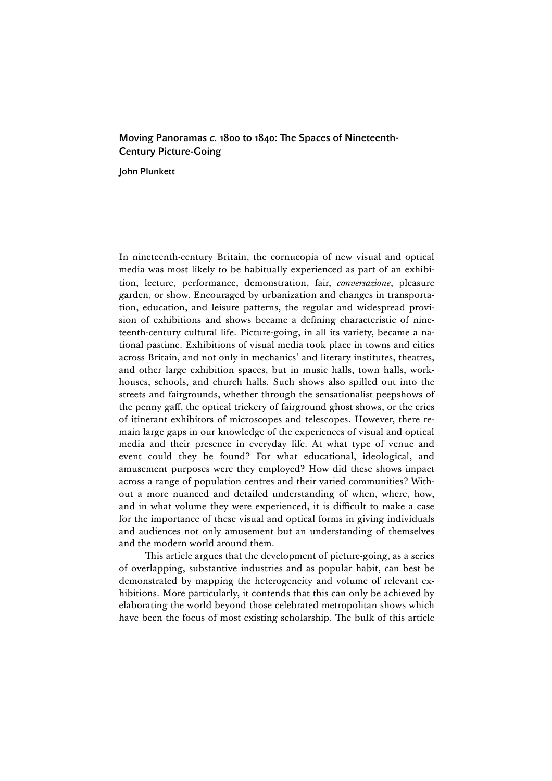## Moving Panoramas *c.* 1800 to 1840: The Spaces of Nineteenth-Century Picture-Going

John Plunkett

In nineteenth-century Britain, the cornucopia of new visual and optical media was most likely to be habitually experienced as part of an exhibition, lecture, performance, demonstration, fair, *conversazione*, pleasure garden, or show. Encouraged by urbanization and changes in transportation, education, and leisure patterns, the regular and widespread provision of exhibitions and shows became a defining characteristic of nineteenth-century cultural life. Picture-going, in all its variety, became a national pastime. Exhibitions of visual media took place in towns and cities across Britain, and not only in mechanics' and literary institutes, theatres, and other large exhibition spaces, but in music halls, town halls, workhouses, schools, and church halls. Such shows also spilled out into the streets and fairgrounds, whether through the sensationalist peepshows of the penny gaff, the optical trickery of fairground ghost shows, or the cries of itinerant exhibitors of microscopes and telescopes. However, there remain large gaps in our knowledge of the experiences of visual and optical media and their presence in everyday life. At what type of venue and event could they be found? For what educational, ideological, and amusement purposes were they employed? How did these shows impact across a range of population centres and their varied communities? Without a more nuanced and detailed understanding of when, where, how, and in what volume they were experienced, it is difficult to make a case for the importance of these visual and optical forms in giving individuals and audiences not only amusement but an understanding of themselves and the modern world around them.

This article argues that the development of picture-going, as a series of overlapping, substantive industries and as popular habit, can best be demonstrated by mapping the heterogeneity and volume of relevant exhibitions. More particularly, it contends that this can only be achieved by elaborating the world beyond those celebrated metropolitan shows which have been the focus of most existing scholarship. The bulk of this article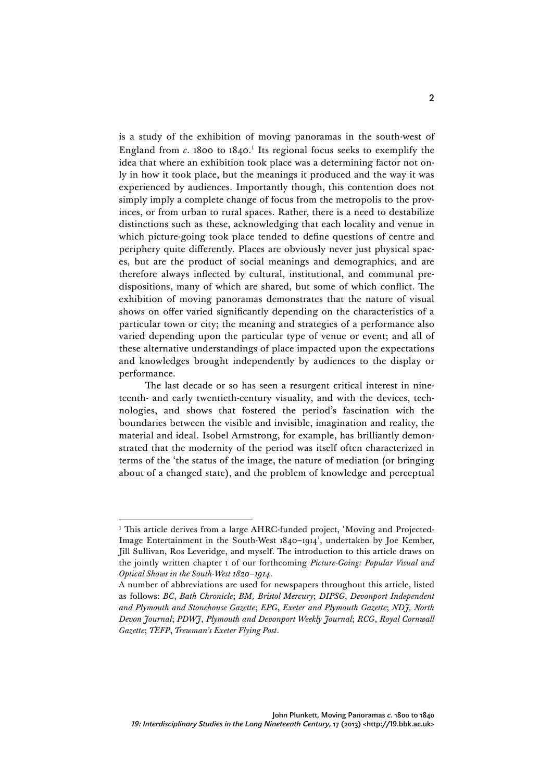is a study of the exhibition of moving panoramas in the south-west of England from *c*. 1800 to 1840. <sup>1</sup> Its regional focus seeks to exemplify the idea that where an exhibition took place was a determining factor not only in how it took place, but the meanings it produced and the way it was experienced by audiences. Importantly though, this contention does not simply imply a complete change of focus from the metropolis to the provinces, or from urban to rural spaces. Rather, there is a need to destabilize distinctions such as these, acknowledging that each locality and venue in which picture-going took place tended to define questions of centre and periphery quite differently. Places are obviously never just physical spaces, but are the product of social meanings and demographics, and are therefore always inflected by cultural, institutional, and communal predispositions, many of which are shared, but some of which conflict. The exhibition of moving panoramas demonstrates that the nature of visual shows on offer varied significantly depending on the characteristics of a particular town or city; the meaning and strategies of a performance also varied depending upon the particular type of venue or event; and all of these alternative understandings of place impacted upon the expectations and knowledges brought independently by audiences to the display or performance.

The last decade or so has seen a resurgent critical interest in nineteenth- and early twentieth-century visuality, and with the devices, technologies, and shows that fostered the period's fascination with the boundaries between the visible and invisible, imagination and reality, the material and ideal. Isobel Armstrong, for example, has brilliantly demonstrated that the modernity of the period was itself often characterized in terms of the 'the status of the image, the nature of mediation (or bringing about of a changed state), and the problem of knowledge and perceptual

<sup>&</sup>lt;sup>1</sup> This article derives from a large AHRC-funded project, 'Moving and Projected-Image Entertainment in the South-West 1840–1914', undertaken by Joe Kember, Jill Sullivan, Ros Leveridge, and myself. The introduction to this article draws on the jointly written chapter 1 of our forthcoming *Picture-Going: Popular Visual and Optical Shows in the South-West 1820–1914*.

A number of abbreviations are used for newspapers throughout this article, listed as follows: *BC*, *Bath Chronicle*; *BM, Bristol Mercury*; *DIPSG*, *Devonport Independent and Plymouth and Stonehouse Gazette*; *EPG*, *Exeter and Plymouth Gazette*; *NDJ, North Devon Journal*; *PDWJ*, *Plymouth and Devonport Weekly Journal*; *RCG*, *Royal Cornwall Gazette*; *TEFP*, *Trewman's Exeter Flying Post*.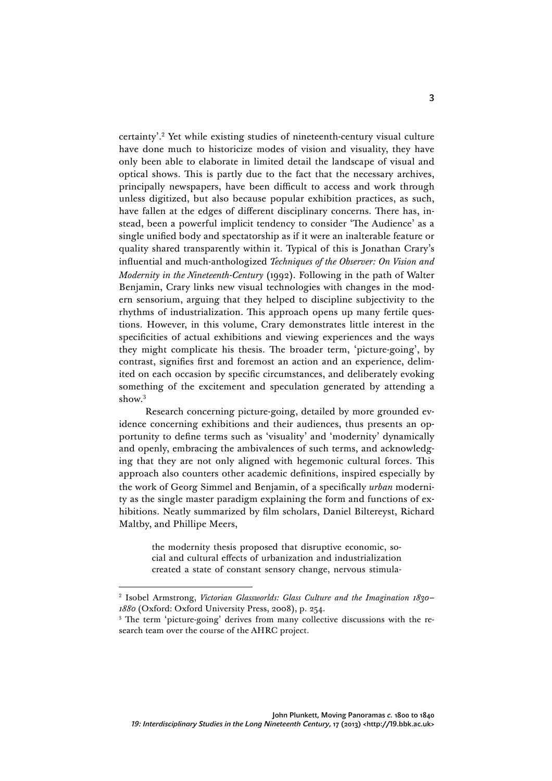certainty'. <sup>2</sup> Yet while existing studies of nineteenth-century visual culture have done much to historicize modes of vision and visuality, they have only been able to elaborate in limited detail the landscape of visual and optical shows. This is partly due to the fact that the necessary archives, principally newspapers, have been difficult to access and work through unless digitized, but also because popular exhibition practices, as such, have fallen at the edges of different disciplinary concerns. There has, instead, been a powerful implicit tendency to consider 'The Audience' as a single unified body and spectatorship as if it were an inalterable feature or quality shared transparently within it. Typical of this is Jonathan Crary's influential and much-anthologized *Techniques of the Observer: On Vision and Modernity in the Nineteenth-Century* (1992). Following in the path of Walter Benjamin, Crary links new visual technologies with changes in the modern sensorium, arguing that they helped to discipline subjectivity to the rhythms of industrialization. This approach opens up many fertile questions. However, in this volume, Crary demonstrates little interest in the specificities of actual exhibitions and viewing experiences and the ways they might complicate his thesis. The broader term, 'picture-going', by contrast, signifies first and foremost an action and an experience, delimited on each occasion by specific circumstances, and deliberately evoking something of the excitement and speculation generated by attending a show.<sup>3</sup>

Research concerning picture-going, detailed by more grounded evidence concerning exhibitions and their audiences, thus presents an opportunity to define terms such as 'visuality' and 'modernity' dynamically and openly, embracing the ambivalences of such terms, and acknowledging that they are not only aligned with hegemonic cultural forces. This approach also counters other academic definitions, inspired especially by the work of Georg Simmel and Benjamin, of a specifically *urban* modernity as the single master paradigm explaining the form and functions of exhibitions. Neatly summarized by film scholars, Daniel Biltereyst, Richard Maltby, and Phillipe Meers,

> the modernity thesis proposed that disruptive economic, social and cultural effects of urbanization and industrialization created a state of constant sensory change, nervous stimula-

<sup>2</sup> Isobel Armstrong, *Victorian Glassworlds: Glass Culture and the Imagination 1830– 1880* (Oxford: Oxford University Press, 2008), p. 254.<br><sup>3</sup> The term 'picture-going' derives from many collective discussions with the re-

search team over the course of the AHRC project.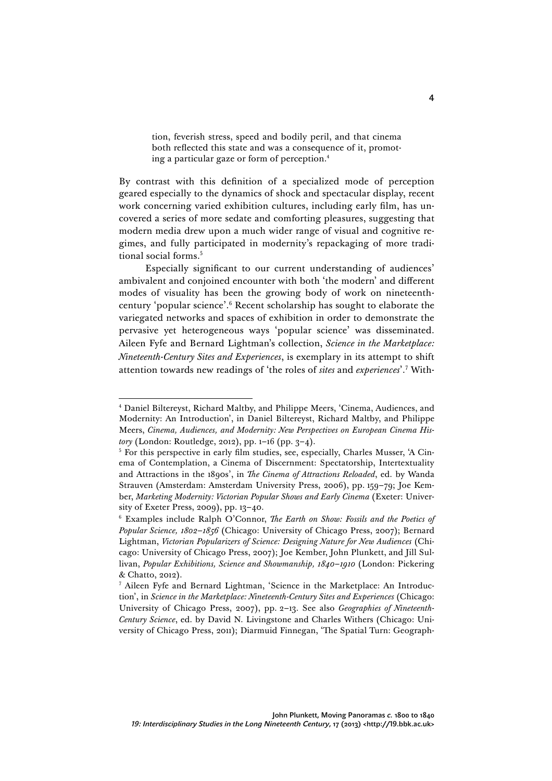tion, feverish stress, speed and bodily peril, and that cinema both reflected this state and was a consequence of it, promoting a particular gaze or form of perception. 4

By contrast with this definition of a specialized mode of perception geared especially to the dynamics of shock and spectacular display, recent work concerning varied exhibition cultures, including early film, has uncovered a series of more sedate and comforting pleasures, suggesting that modern media drew upon a much wider range of visual and cognitive regimes, and fully participated in modernity's repackaging of more traditional social forms.<sup>5</sup>

Especially significant to our current understanding of audiences' ambivalent and conjoined encounter with both 'the modern' and different modes of visuality has been the growing body of work on nineteenthcentury 'popular science'. <sup>6</sup> Recent scholarship has sought to elaborate the variegated networks and spaces of exhibition in order to demonstrate the pervasive yet heterogeneous ways 'popular science' was disseminated. Aileen Fyfe and Bernard Lightman's collection, *Science in the Marketplace: Nineteenth-Century Sites and Experiences*, is exemplary in its attempt to shift attention towards new readings of 'the roles of *sites* and *experiences*'. <sup>7</sup> With-

 $\overline{a}$ <sup>4</sup> Daniel Biltereyst, Richard Maltby, and Philippe Meers, 'Cinema, Audiences, and Modernity: An Introduction', in Daniel Biltereyst, Richard Maltby, and Philippe Meers, *Cinema, Audiences, and Modernity: New Perspectives on European Cinema History* (London: Routledge, 2012), pp. 1–16 (pp. 3–4).

<sup>5</sup> For this perspective in early film studies, see, especially, Charles Musser, 'A Cinema of Contemplation, a Cinema of Discernment: Spectatorship, Intertextuality and Attractions in the 1890s', in *The Cinema of Attractions Reloaded*, ed. by Wanda Strauven (Amsterdam: Amsterdam University Press, 2006), pp. 159–79; Joe Kember, *Marketing Modernity: Victorian Popular Shows and Early Cinema* (Exeter: University of Exeter Press, 2009), pp. 13–40.

<sup>6</sup> Examples include Ralph O'Connor, *The Earth on Show: Fossils and the Poetics of Popular Science, 1802–1856* (Chicago: University of Chicago Press, 2007); Bernard Lightman, *Victorian Popularizers of Science: Designing Nature for New Audiences* (Chicago: University of Chicago Press, 2007); Joe Kember, John Plunkett, and Jill Sullivan, *Popular Exhibitions, Science and Showmanship, 1840–1910* (London: Pickering & Chatto, 2012).

<sup>7</sup> Aileen Fyfe and Bernard Lightman, 'Science in the Marketplace: An Introduction', in *Science in the Marketplace: Nineteenth-Century Sites and Experiences* (Chicago: University of Chicago Press, 2007), pp. 2–13. See also *Geographies of Nineteenth-Century Science*, ed. by David N. Livingstone and Charles Withers (Chicago: University of Chicago Press, 2011); Diarmuid Finnegan, 'The Spatial Turn: Geograph-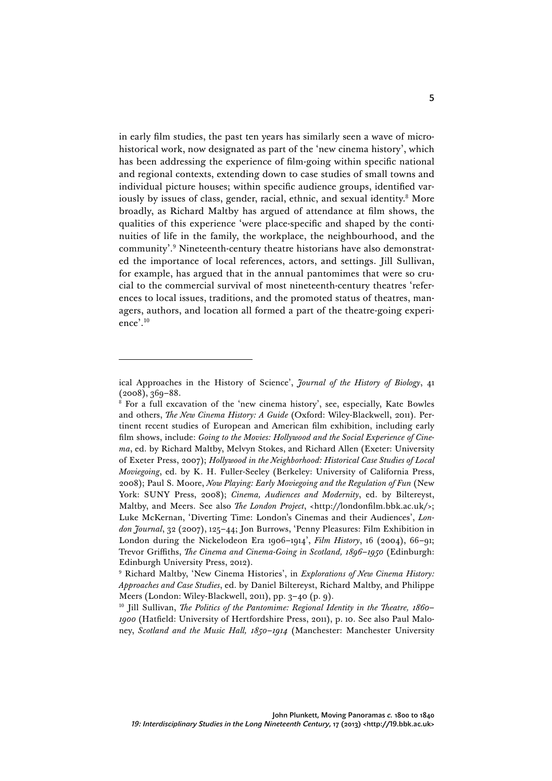in early film studies, the past ten years has similarly seen a wave of microhistorical work, now designated as part of the 'new cinema history', which has been addressing the experience of film-going within specific national and regional contexts, extending down to case studies of small towns and individual picture houses; within specific audience groups, identified variously by issues of class, gender, racial, ethnic, and sexual identity.<sup>8</sup> More broadly, as Richard Maltby has argued of attendance at film shows, the qualities of this experience 'were place-specific and shaped by the continuities of life in the family, the workplace, the neighbourhood, and the community'. <sup>9</sup> Nineteenth-century theatre historians have also demonstrated the importance of local references, actors, and settings. Jill Sullivan, for example, has argued that in the annual pantomimes that were so crucial to the commercial survival of most nineteenth-century theatres 'references to local issues, traditions, and the promoted status of theatres, managers, authors, and location all formed a part of the theatre-going experience'. 10

ical Approaches in the History of Science', *Journal of the History of Biology*, 41 (2008), 369–88.

<sup>8</sup> For a full excavation of the 'new cinema history', see, especially, Kate Bowles and others, *The New Cinema History: A Guide* (Oxford: Wiley-Blackwell, 2011). Pertinent recent studies of European and American film exhibition, including early film shows, include: *Going to the Movies: Hollywood and the Social Experience of Cinema*, ed. by Richard Maltby, Melvyn Stokes, and Richard Allen (Exeter: University of Exeter Press, 2007); *Hollywood in the Neighborhood: Historical Case Studies of Local Moviegoing*, ed. by K. H. Fuller-Seeley (Berkeley: University of California Press, 2008); Paul S. Moore, *Now Playing: Early Moviegoing and the Regulation of Fun* (New York: SUNY Press, 2008); *Cinema, Audiences and Modernity*, ed. by Biltereyst, Maltby, and Meers. See also *The London Project*, <http://londonfilm.bbk.ac.uk/>; Luke McKernan, 'Diverting Time: London's Cinemas and their Audiences', *London Journal*, 32 (2007), 125–44; Jon Burrows, 'Penny Pleasures: Film Exhibition in London during the Nickelodeon Era 1906–1914', *Film History*, 16 (2004), 66–91; Trevor Griffiths, *The Cinema and Cinema-Going in Scotland, 1896–1950* (Edinburgh: Edinburgh University Press, 2012).

<sup>9</sup> Richard Maltby, 'New Cinema Histories', in *Explorations of New Cinema History: Approaches and Case Studies*, ed. by Daniel Biltereyst, Richard Maltby, and Philippe Meers (London: Wiley-Blackwell, 2011), pp. 3–40 (p. 9).

<sup>10</sup> Jill Sullivan, *The Politics of the Pantomime: Regional Identity in the Theatre, 1860– 1900* (Hatfield: University of Hertfordshire Press, 2011), p. 10. See also Paul Maloney, *Scotland and the Music Hall, 1850–1914* (Manchester: Manchester University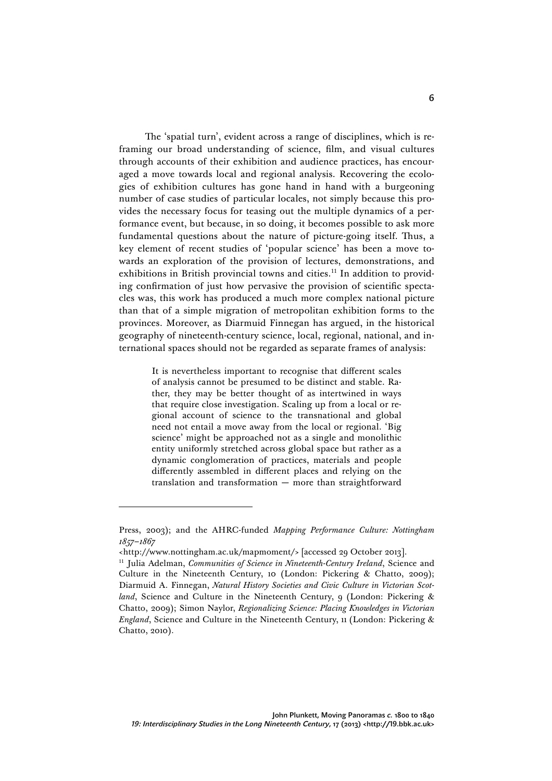The 'spatial turn', evident across a range of disciplines, which is reframing our broad understanding of science, film, and visual cultures through accounts of their exhibition and audience practices, has encouraged a move towards local and regional analysis. Recovering the ecologies of exhibition cultures has gone hand in hand with a burgeoning number of case studies of particular locales, not simply because this provides the necessary focus for teasing out the multiple dynamics of a performance event, but because, in so doing, it becomes possible to ask more fundamental questions about the nature of picture-going itself. Thus, a key element of recent studies of 'popular science' has been a move towards an exploration of the provision of lectures, demonstrations, and exhibitions in British provincial towns and cities.<sup>11</sup> In addition to providing confirmation of just how pervasive the provision of scientific spectacles was, this work has produced a much more complex national picture than that of a simple migration of metropolitan exhibition forms to the provinces. Moreover, as Diarmuid Finnegan has argued, in the historical geography of nineteenth-century science, local, regional, national, and international spaces should not be regarded as separate frames of analysis:

> It is nevertheless important to recognise that different scales of analysis cannot be presumed to be distinct and stable. Rather, they may be better thought of as intertwined in ways that require close investigation. Scaling up from a local or regional account of science to the transnational and global need not entail a move away from the local or regional. 'Big science' might be approached not as a single and monolithic entity uniformly stretched across global space but rather as a dynamic conglomeration of practices, materials and people differently assembled in different places and relying on the translation and transformation — more than straightforward

Press, 2003); and the AHRC-funded *Mapping Performance Culture: Nottingham 1857–1867*

<sup>&</sup>lt;http://www.nottingham.ac.uk/mapmoment/> [accessed 29 October 2013].

<sup>11</sup> Julia Adelman, *Communities of Science in Nineteenth-Century Ireland*, Science and Culture in the Nineteenth Century, 10 (London: Pickering & Chatto, 2009); Diarmuid A. Finnegan, *Natural History Societies and Civic Culture in Victorian Scotland*, Science and Culture in the Nineteenth Century, 9 (London: Pickering & Chatto, 2009); Simon Naylor, *Regionalizing Science: Placing Knowledges in Victorian England*, Science and Culture in the Nineteenth Century, 11 (London: Pickering & Chatto, 2010).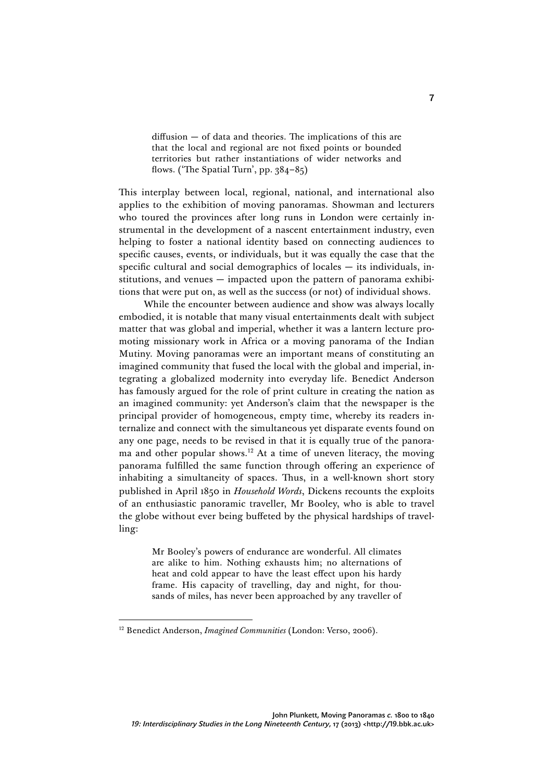diffusion — of data and theories. The implications of this are that the local and regional are not fixed points or bounded territories but rather instantiations of wider networks and flows. ('The Spatial Turn', pp. 384–85)

This interplay between local, regional, national, and international also applies to the exhibition of moving panoramas. Showman and lecturers who toured the provinces after long runs in London were certainly instrumental in the development of a nascent entertainment industry, even helping to foster a national identity based on connecting audiences to specific causes, events, or individuals, but it was equally the case that the specific cultural and social demographics of locales — its individuals, institutions, and venues — impacted upon the pattern of panorama exhibitions that were put on, as well as the success (or not) of individual shows.

While the encounter between audience and show was always locally embodied, it is notable that many visual entertainments dealt with subject matter that was global and imperial, whether it was a lantern lecture promoting missionary work in Africa or a moving panorama of the Indian Mutiny. Moving panoramas were an important means of constituting an imagined community that fused the local with the global and imperial, integrating a globalized modernity into everyday life. Benedict Anderson has famously argued for the role of print culture in creating the nation as an imagined community: yet Anderson's claim that the newspaper is the principal provider of homogeneous, empty time, whereby its readers internalize and connect with the simultaneous yet disparate events found on any one page, needs to be revised in that it is equally true of the panorama and other popular shows.<sup>12</sup> At a time of uneven literacy, the moving panorama fulfilled the same function through offering an experience of inhabiting a simultaneity of spaces. Thus, in a well-known short story published in April 1850 in *Household Words*, Dickens recounts the exploits of an enthusiastic panoramic traveller, Mr Booley, who is able to travel the globe without ever being buffeted by the physical hardships of travelling:

> Mr Booley's powers of endurance are wonderful. All climates are alike to him. Nothing exhausts him; no alternations of heat and cold appear to have the least effect upon his hardy frame. His capacity of travelling, day and night, for thousands of miles, has never been approached by any traveller of

<sup>&</sup>lt;sup>12</sup> Benedict Anderson, *Imagined Communities* (London: Verso, 2006).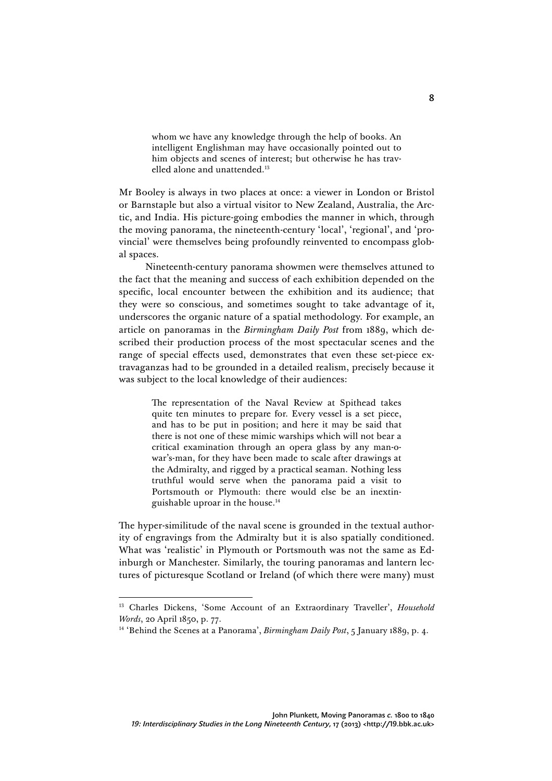whom we have any knowledge through the help of books. An intelligent Englishman may have occasionally pointed out to him objects and scenes of interest; but otherwise he has travelled alone and unattended.13

Mr Booley is always in two places at once: a viewer in London or Bristol or Barnstaple but also a virtual visitor to New Zealand, Australia, the Arctic, and India. His picture-going embodies the manner in which, through the moving panorama, the nineteenth-century 'local', 'regional', and 'provincial' were themselves being profoundly reinvented to encompass global spaces.

Nineteenth-century panorama showmen were themselves attuned to the fact that the meaning and success of each exhibition depended on the specific, local encounter between the exhibition and its audience; that they were so conscious, and sometimes sought to take advantage of it, underscores the organic nature of a spatial methodology. For example, an article on panoramas in the *Birmingham Daily Post* from 1889, which described their production process of the most spectacular scenes and the range of special effects used, demonstrates that even these set-piece extravaganzas had to be grounded in a detailed realism, precisely because it was subject to the local knowledge of their audiences:

> The representation of the Naval Review at Spithead takes quite ten minutes to prepare for. Every vessel is a set piece, and has to be put in position; and here it may be said that there is not one of these mimic warships which will not bear a critical examination through an opera glass by any man-owar's-man, for they have been made to scale after drawings at the Admiralty, and rigged by a practical seaman. Nothing less truthful would serve when the panorama paid a visit to Portsmouth or Plymouth: there would else be an inextinguishable uproar in the house.14

The hyper-similitude of the naval scene is grounded in the textual authority of engravings from the Admiralty but it is also spatially conditioned. What was 'realistic' in Plymouth or Portsmouth was not the same as Edinburgh or Manchester. Similarly, the touring panoramas and lantern lectures of picturesque Scotland or Ireland (of which there were many) must

<sup>13</sup> Charles Dickens, 'Some Account of an Extraordinary Traveller', *Household Words*, 20 April 1850, p. 77.

<sup>14</sup> 'Behind the Scenes at a Panorama', *Birmingham Daily Post*, 5 January 1889, p. 4.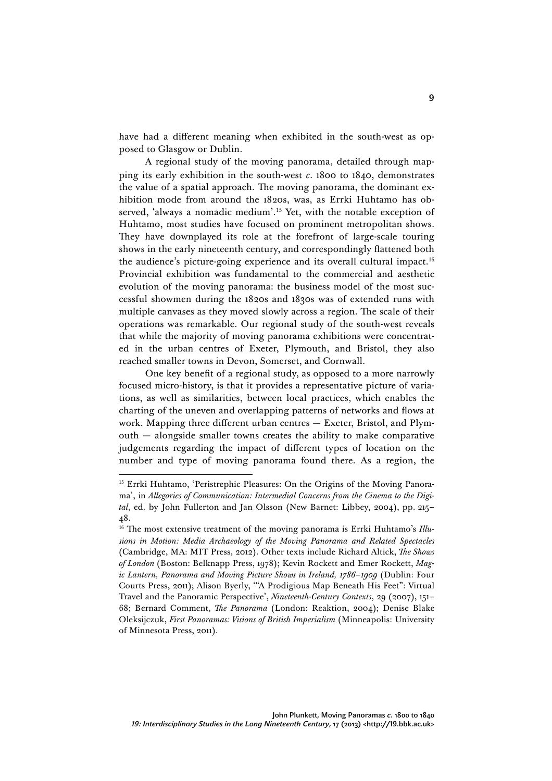have had a different meaning when exhibited in the south-west as opposed to Glasgow or Dublin.

A regional study of the moving panorama, detailed through mapping its early exhibition in the south-west *c*. 1800 to 1840, demonstrates the value of a spatial approach. The moving panorama, the dominant exhibition mode from around the 1820s, was, as Errki Huhtamo has observed, 'always a nomadic medium'. <sup>15</sup> Yet, with the notable exception of Huhtamo, most studies have focused on prominent metropolitan shows. They have downplayed its role at the forefront of large-scale touring shows in the early nineteenth century, and correspondingly flattened both the audience's picture-going experience and its overall cultural impact.<sup>16</sup> Provincial exhibition was fundamental to the commercial and aesthetic evolution of the moving panorama: the business model of the most successful showmen during the 1820s and 1830s was of extended runs with multiple canvases as they moved slowly across a region. The scale of their operations was remarkable. Our regional study of the south-west reveals that while the majority of moving panorama exhibitions were concentrated in the urban centres of Exeter, Plymouth, and Bristol, they also reached smaller towns in Devon, Somerset, and Cornwall.

One key benefit of a regional study, as opposed to a more narrowly focused micro-history, is that it provides a representative picture of variations, as well as similarities, between local practices, which enables the charting of the uneven and overlapping patterns of networks and flows at work. Mapping three different urban centres — Exeter, Bristol, and Plymouth — alongside smaller towns creates the ability to make comparative judgements regarding the impact of different types of location on the number and type of moving panorama found there. As a region, the

<sup>&</sup>lt;sup>15</sup> Errki Huhtamo, 'Peristrephic Pleasures: On the Origins of the Moving Panorama', in *Allegories of Communication: Intermedial Concerns from the Cinema to the Digital*, ed. by John Fullerton and Jan Olsson (New Barnet: Libbey, 2004), pp. 215– 48.

<sup>&</sup>lt;sup>16</sup> The most extensive treatment of the moving panorama is Errki Huhtamo's Illu*sions in Motion: Media Archaeology of the Moving Panorama and Related Spectacles* (Cambridge, MA: MIT Press, 2012). Other texts include Richard Altick, *The Shows of London* (Boston: Belknapp Press, 1978); Kevin Rockett and Emer Rockett, *Magic Lantern, Panorama and Moving Picture Shows in Ireland, 1786–1909* (Dublin: Four Courts Press, 2011); Alison Byerly, '"A Prodigious Map Beneath His Feet": Virtual Travel and the Panoramic Perspective', *Nineteenth-Century Contexts*, 29 (2007), 151– 68; Bernard Comment, *The Panorama* (London: Reaktion, 2004); Denise Blake Oleksijczuk, *First Panoramas: Visions of British Imperialism* (Minneapolis: University of Minnesota Press, 2011).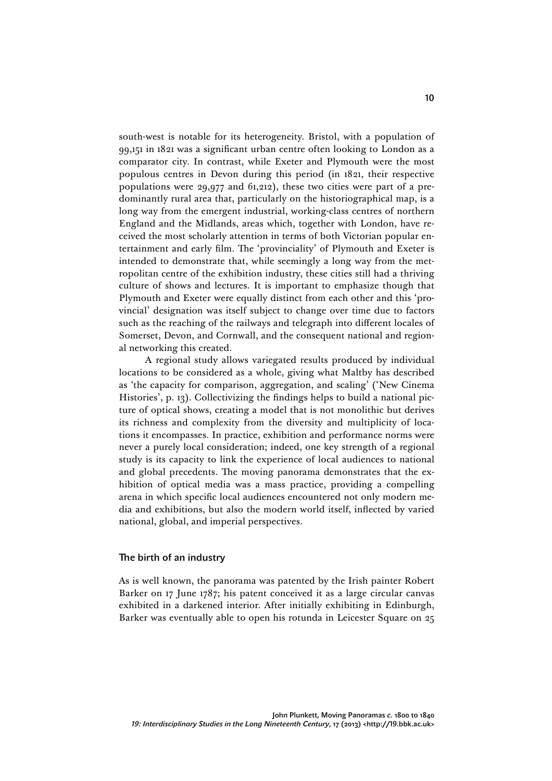south-west is notable for its heterogeneity. Bristol, with a population of 99,151 in 1821 was a significant urban centre often looking to London as a comparator city. In contrast, while Exeter and Plymouth were the most populous centres in Devon during this period (in 1821, their respective populations were 29,977 and 61,212), these two cities were part of a predominantly rural area that, particularly on the historiographical map, is a long way from the emergent industrial, working-class centres of northern England and the Midlands, areas which, together with London, have received the most scholarly attention in terms of both Victorian popular entertainment and early film. The 'provinciality' of Plymouth and Exeter is intended to demonstrate that, while seemingly a long way from the metropolitan centre of the exhibition industry, these cities still had a thriving culture of shows and lectures. It is important to emphasize though that Plymouth and Exeter were equally distinct from each other and this 'provincial' designation was itself subject to change over time due to factors such as the reaching of the railways and telegraph into different locales of Somerset, Devon, and Cornwall, and the consequent national and regional networking this created.

A regional study allows variegated results produced by individual locations to be considered as a whole, giving what Maltby has described as 'the capacity for comparison, aggregation, and scaling' ('New Cinema Histories', p. 13). Collectivizing the findings helps to build a national picture of optical shows, creating a model that is not monolithic but derives its richness and complexity from the diversity and multiplicity of locations it encompasses. In practice, exhibition and performance norms were never a purely local consideration; indeed, one key strength of a regional study is its capacity to link the experience of local audiences to national and global precedents. The moving panorama demonstrates that the exhibition of optical media was a mass practice, providing a compelling arena in which specific local audiences encountered not only modern media and exhibitions, but also the modern world itself, inflected by varied national, global, and imperial perspectives.

## The birth of an industry

As is well known, the panorama was patented by the Irish painter Robert Barker on 17 June 1787; his patent conceived it as a large circular canvas exhibited in a darkened interior. After initially exhibiting in Edinburgh, Barker was eventually able to open his rotunda in Leicester Square on 25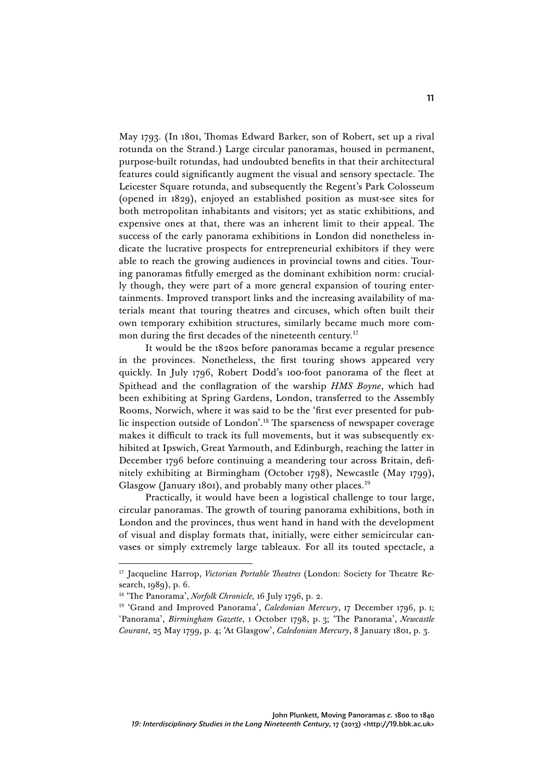May 1793. (In 1801, Thomas Edward Barker, son of Robert, set up a rival rotunda on the Strand.) Large circular panoramas, housed in permanent, purpose-built rotundas, had undoubted benefits in that their architectural features could significantly augment the visual and sensory spectacle. The Leicester Square rotunda, and subsequently the Regent's Park Colosseum (opened in 1829), enjoyed an established position as must-see sites for both metropolitan inhabitants and visitors; yet as static exhibitions, and expensive ones at that, there was an inherent limit to their appeal. The success of the early panorama exhibitions in London did nonetheless indicate the lucrative prospects for entrepreneurial exhibitors if they were able to reach the growing audiences in provincial towns and cities. Touring panoramas fitfully emerged as the dominant exhibition norm: crucially though, they were part of a more general expansion of touring entertainments. Improved transport links and the increasing availability of materials meant that touring theatres and circuses, which often built their own temporary exhibition structures, similarly became much more common during the first decades of the nineteenth century.<sup>17</sup>

It would be the 1820s before panoramas became a regular presence in the provinces. Nonetheless, the first touring shows appeared very quickly. In July 1796, Robert Dodd's 100-foot panorama of the fleet at Spithead and the conflagration of the warship *HMS Boyne*, which had been exhibiting at Spring Gardens, London, transferred to the Assembly Rooms, Norwich, where it was said to be the 'first ever presented for public inspection outside of London'. <sup>18</sup> The sparseness of newspaper coverage makes it difficult to track its full movements, but it was subsequently exhibited at Ipswich, Great Yarmouth, and Edinburgh, reaching the latter in December 1796 before continuing a meandering tour across Britain, definitely exhibiting at Birmingham (October 1798), Newcastle (May 1799), Glasgow (January 1801), and probably many other places.<sup>19</sup>

Practically, it would have been a logistical challenge to tour large, circular panoramas. The growth of touring panorama exhibitions, both in London and the provinces, thus went hand in hand with the development of visual and display formats that, initially, were either semicircular canvases or simply extremely large tableaux. For all its touted spectacle, a

<sup>&</sup>lt;sup>17</sup> Jacqueline Harrop, *Victorian Portable Theatres* (London: Society for Theatre Research, 1989), p. 6.

<sup>18</sup> 'The Panorama', *Norfolk Chronicle,* 16 July 1796, p. 2.

<sup>&</sup>lt;sup>19</sup> 'Grand and Improved Panorama', *Caledonian Mercury*, 17 December 1796, p. 1; 'Panorama', *Birmingham Gazette*, 1 October 1798, p. 3; 'The Panorama', *Newcastle Courant*, 25 May 1799, p. 4; 'At Glasgow', *Caledonian Mercury*, 8 January 1801, p. 3.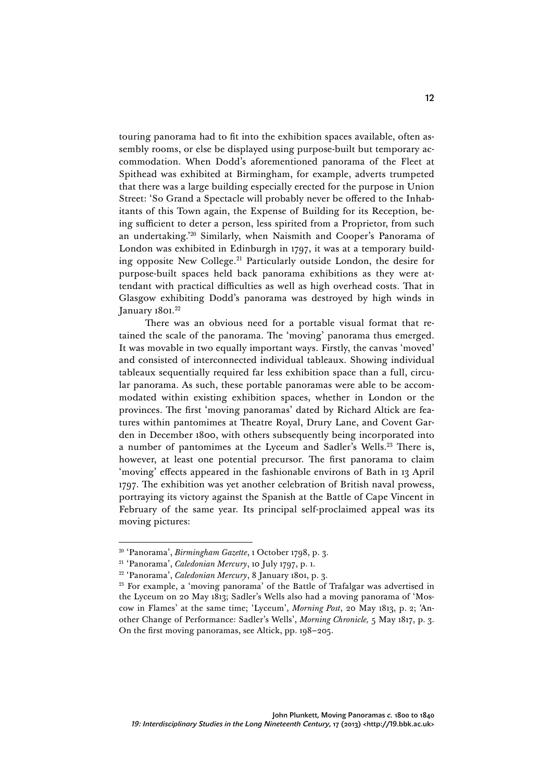touring panorama had to fit into the exhibition spaces available, often assembly rooms, or else be displayed using purpose-built but temporary accommodation. When Dodd's aforementioned panorama of the Fleet at Spithead was exhibited at Birmingham, for example, adverts trumpeted that there was a large building especially erected for the purpose in Union Street: 'So Grand a Spectacle will probably never be offered to the Inhabitants of this Town again, the Expense of Building for its Reception, being sufficient to deter a person, less spirited from a Proprietor, from such an undertaking.' <sup>20</sup> Similarly, when Naismith and Cooper's Panorama of London was exhibited in Edinburgh in 1797, it was at a temporary building opposite New College.21 Particularly outside London, the desire for purpose-built spaces held back panorama exhibitions as they were attendant with practical difficulties as well as high overhead costs. That in Glasgow exhibiting Dodd's panorama was destroyed by high winds in January 1801. 22

There was an obvious need for a portable visual format that retained the scale of the panorama. The 'moving' panorama thus emerged. It was movable in two equally important ways. Firstly, the canvas 'moved' and consisted of interconnected individual tableaux. Showing individual tableaux sequentially required far less exhibition space than a full, circular panorama. As such, these portable panoramas were able to be accommodated within existing exhibition spaces, whether in London or the provinces. The first 'moving panoramas' dated by Richard Altick are features within pantomimes at Theatre Royal, Drury Lane, and Covent Garden in December 1800, with others subsequently being incorporated into a number of pantomimes at the Lyceum and Sadler's Wells.23 There is, however, at least one potential precursor. The first panorama to claim 'moving' effects appeared in the fashionable environs of Bath in 13 April 1797. The exhibition was yet another celebration of British naval prowess, portraying its victory against the Spanish at the Battle of Cape Vincent in February of the same year. Its principal self-proclaimed appeal was its moving pictures:

<sup>20</sup> 'Panorama', *Birmingham Gazette*, 1 October 1798, p. 3.

<sup>21</sup> 'Panorama', *Caledonian Mercury*, 10 July 1797, p. 1.

<sup>22</sup> 'Panorama', *Caledonian Mercury*, 8 January 1801, p. 3.

<sup>&</sup>lt;sup>23</sup> For example, a 'moving panorama' of the Battle of Trafalgar was advertised in the Lyceum on 20 May 1813; Sadler's Wells also had a moving panorama of 'Moscow in Flames' at the same time; 'Lyceum', *Morning Post*, 20 May 1813, p. 2; 'Another Change of Performance: Sadler's Wells', *Morning Chronicle,* 5 May 1817, p. 3. On the first moving panoramas, see Altick, pp. 198–205.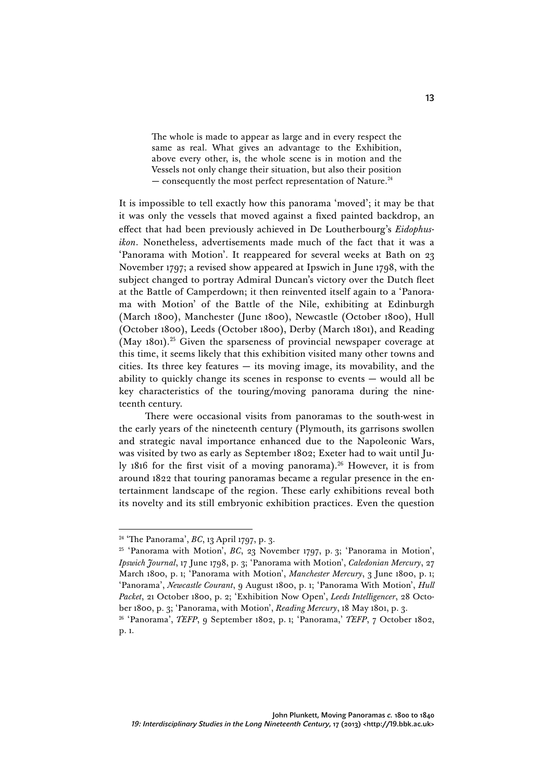The whole is made to appear as large and in every respect the same as real. What gives an advantage to the Exhibition, above every other, is, the whole scene is in motion and the Vessels not only change their situation, but also their position  $-$  consequently the most perfect representation of Nature.<sup>24</sup>

It is impossible to tell exactly how this panorama 'moved'; it may be that it was only the vessels that moved against a fixed painted backdrop, an effect that had been previously achieved in De Loutherbourg's *Eidophusikon*. Nonetheless, advertisements made much of the fact that it was a 'Panorama with Motion'. It reappeared for several weeks at Bath on 23 November 1797; a revised show appeared at Ipswich in June 1798, with the subject changed to portray Admiral Duncan's victory over the Dutch fleet at the Battle of Camperdown; it then reinvented itself again to a 'Panorama with Motion' of the Battle of the Nile, exhibiting at Edinburgh (March 1800), Manchester (June 1800), Newcastle (October 1800), Hull (October 1800), Leeds (October 1800), Derby (March 1801), and Reading (May  $1801$ ).<sup>25</sup> Given the sparseness of provincial newspaper coverage at this time, it seems likely that this exhibition visited many other towns and cities. Its three key features  $-$  its moving image, its movability, and the ability to quickly change its scenes in response to events — would all be key characteristics of the touring/moving panorama during the nineteenth century.

There were occasional visits from panoramas to the south-west in the early years of the nineteenth century (Plymouth, its garrisons swollen and strategic naval importance enhanced due to the Napoleonic Wars, was visited by two as early as September 1802; Exeter had to wait until July 1816 for the first visit of a moving panorama).<sup>26</sup> However, it is from around 1822 that touring panoramas became a regular presence in the entertainment landscape of the region. These early exhibitions reveal both its novelty and its still embryonic exhibition practices. Even the question

<sup>24</sup> 'The Panorama', *BC*, 13 April 1797, p. 3.

<sup>&</sup>lt;sup>25</sup> 'Panorama with Motion', *BC*, 23 November 1797, p. 3; 'Panorama in Motion', *Ipswich Journal*, 17 June 1798, p. 3; 'Panorama with Motion', *Caledonian Mercury*, 27 March 1800, p. 1; 'Panorama with Motion', *Manchester Mercury*, 3 June 1800, p. 1; 'Panorama', *Newcastle Courant*, 9 August 1800, p. 1; 'Panorama With Motion', *Hull Packet*, 21 October 1800, p. 2; 'Exhibition Now Open', *Leeds Intelligencer*, 28 October 1800, p. 3; 'Panorama, with Motion', *Reading Mercury*, 18 May 1801, p. 3.

<sup>26</sup> 'Panorama', *TEFP*, 9 September 1802, p. 1; 'Panorama,' *TEFP*, 7 October 1802, p. 1.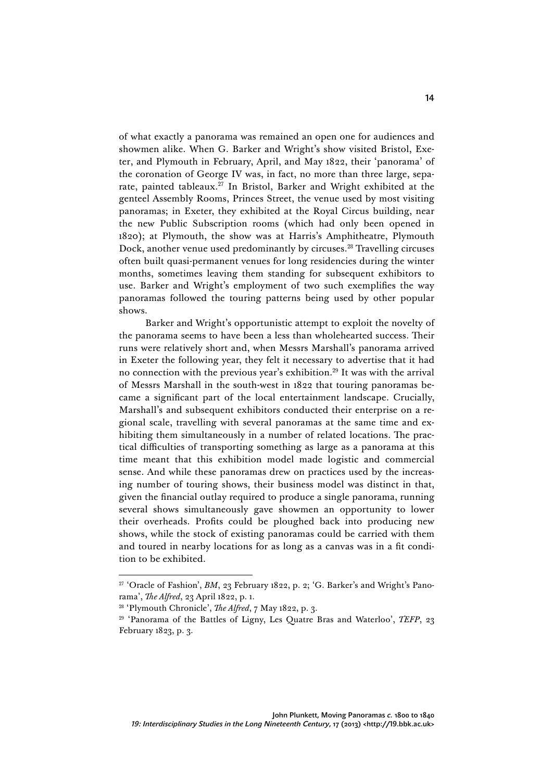of what exactly a panorama was remained an open one for audiences and showmen alike. When G. Barker and Wright's show visited Bristol, Exeter, and Plymouth in February, April, and May 1822, their 'panorama' of the coronation of George IV was, in fact, no more than three large, separate, painted tableaux.<sup>27</sup> In Bristol, Barker and Wright exhibited at the genteel Assembly Rooms, Princes Street, the venue used by most visiting panoramas; in Exeter, they exhibited at the Royal Circus building, near the new Public Subscription rooms (which had only been opened in 1820); at Plymouth, the show was at Harris's Amphitheatre, Plymouth Dock, another venue used predominantly by circuses.<sup>28</sup> Travelling circuses often built quasi-permanent venues for long residencies during the winter months, sometimes leaving them standing for subsequent exhibitors to use. Barker and Wright's employment of two such exemplifies the way panoramas followed the touring patterns being used by other popular shows.

Barker and Wright's opportunistic attempt to exploit the novelty of the panorama seems to have been a less than wholehearted success. Their runs were relatively short and, when Messrs Marshall's panorama arrived in Exeter the following year, they felt it necessary to advertise that it had no connection with the previous year's exhibition.<sup>29</sup> It was with the arrival of Messrs Marshall in the south-west in 1822 that touring panoramas became a significant part of the local entertainment landscape. Crucially, Marshall's and subsequent exhibitors conducted their enterprise on a regional scale, travelling with several panoramas at the same time and exhibiting them simultaneously in a number of related locations. The practical difficulties of transporting something as large as a panorama at this time meant that this exhibition model made logistic and commercial sense. And while these panoramas drew on practices used by the increasing number of touring shows, their business model was distinct in that, given the financial outlay required to produce a single panorama, running several shows simultaneously gave showmen an opportunity to lower their overheads. Profits could be ploughed back into producing new shows, while the stock of existing panoramas could be carried with them and toured in nearby locations for as long as a canvas was in a fit condition to be exhibited.

<sup>&</sup>lt;sup>27</sup> 'Oracle of Fashion', *BM*, 23 February 1822, p. 2; 'G. Barker's and Wright's Panorama', *The Alfred*, 23 April 1822, p. 1.

<sup>28</sup> 'Plymouth Chronicle', *The Alfred*, 7 May 1822, p. 3.

<sup>29</sup> 'Panorama of the Battles of Ligny, Les Quatre Bras and Waterloo', *TEFP*, 23 February 1823, p. 3.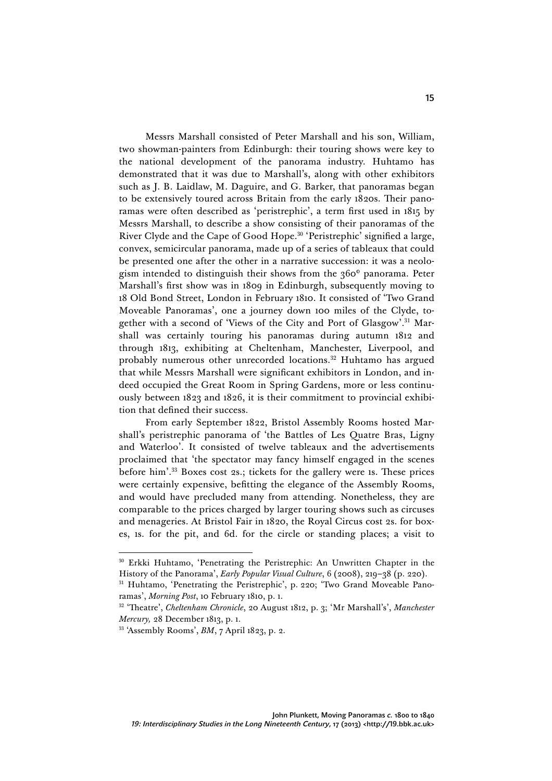Messrs Marshall consisted of Peter Marshall and his son, William, two showman-painters from Edinburgh: their touring shows were key to the national development of the panorama industry. Huhtamo has demonstrated that it was due to Marshall's, along with other exhibitors such as J. B. Laidlaw, M. Daguire, and G. Barker, that panoramas began to be extensively toured across Britain from the early 1820s. Their panoramas were often described as 'peristrephic', a term first used in 1815 by Messrs Marshall, to describe a show consisting of their panoramas of the River Clyde and the Cape of Good Hope.<sup>30</sup> 'Peristrephic' signified a large, convex, semicircular panorama, made up of a series of tableaux that could be presented one after the other in a narrative succession: it was a neologism intended to distinguish their shows from the 360° panorama. Peter Marshall's first show was in 1809 in Edinburgh, subsequently moving to 18 Old Bond Street, London in February 1810. It consisted of 'Two Grand Moveable Panoramas', one a journey down 100 miles of the Clyde, together with a second of 'Views of the City and Port of Glasgow'. <sup>31</sup> Marshall was certainly touring his panoramas during autumn 1812 and through 1813, exhibiting at Cheltenham, Manchester, Liverpool, and probably numerous other unrecorded locations.<sup>32</sup> Huhtamo has argued that while Messrs Marshall were significant exhibitors in London, and indeed occupied the Great Room in Spring Gardens, more or less continuously between 1823 and 1826, it is their commitment to provincial exhibition that defined their success.

From early September 1822, Bristol Assembly Rooms hosted Marshall's peristrephic panorama of 'the Battles of Les Quatre Bras, Ligny and Waterloo'. It consisted of twelve tableaux and the advertisements proclaimed that 'the spectator may fancy himself engaged in the scenes before him'. <sup>33</sup> Boxes cost 2s.; tickets for the gallery were 1s. These prices were certainly expensive, befitting the elegance of the Assembly Rooms, and would have precluded many from attending. Nonetheless, they are comparable to the prices charged by larger touring shows such as circuses and menageries. At Bristol Fair in 1820, the Royal Circus cost 2s. for boxes, 1s. for the pit, and 6d. for the circle or standing places; a visit to

<sup>30</sup> Erkki Huhtamo, 'Penetrating the Peristrephic: An Unwritten Chapter in the History of the Panorama', *Early Popular Visual Culture*, 6 (2008), 219-38 (p. 220).<br><sup>31</sup> Huhtamo, 'Penetrating the Peristrephic', p. 220; 'Two Grand Moveable Pano-

ramas', *Morning Post*, 10 February 1810, p. 1.

<sup>32</sup> 'Theatre', *Cheltenham Chronicle*, 20 August 1812, p. 3; 'Mr Marshall's', *Manchester Mercury,* 28 December 1813, p. 1.

<sup>33</sup> 'Assembly Rooms', *BM*, 7 April 1823, p. 2.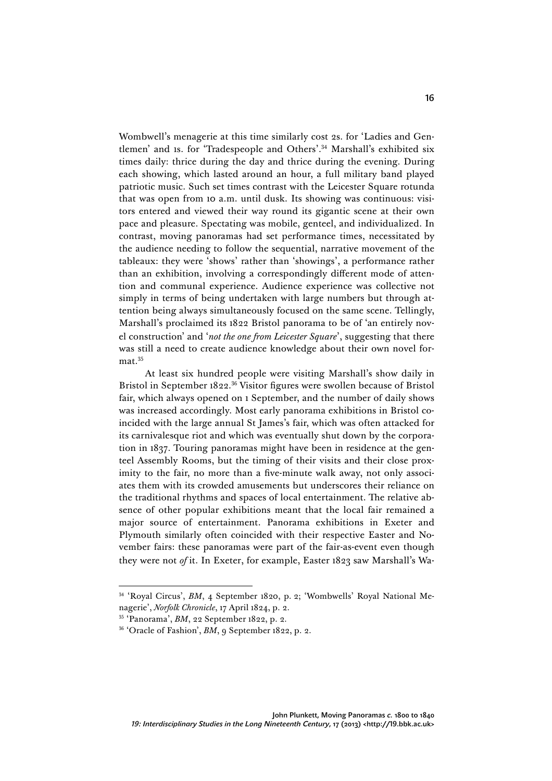Wombwell's menagerie at this time similarly cost 2s. for 'Ladies and Gentlemen' and 1s. for 'Tradespeople and Others'. <sup>34</sup> Marshall's exhibited six times daily: thrice during the day and thrice during the evening. During each showing, which lasted around an hour, a full military band played patriotic music. Such set times contrast with the Leicester Square rotunda that was open from 10 a.m. until dusk. Its showing was continuous: visitors entered and viewed their way round its gigantic scene at their own pace and pleasure. Spectating was mobile, genteel, and individualized. In contrast, moving panoramas had set performance times, necessitated by the audience needing to follow the sequential, narrative movement of the tableaux: they were 'shows' rather than 'showings', a performance rather than an exhibition, involving a correspondingly different mode of attention and communal experience. Audience experience was collective not simply in terms of being undertaken with large numbers but through attention being always simultaneously focused on the same scene. Tellingly, Marshall's proclaimed its 1822 Bristol panorama to be of 'an entirely novel construction' and '*not the one from Leicester Square*', suggesting that there was still a need to create audience knowledge about their own novel format.<sup>35</sup>

At least six hundred people were visiting Marshall's show daily in Bristol in September 1822. <sup>36</sup> Visitor figures were swollen because of Bristol fair, which always opened on 1 September, and the number of daily shows was increased accordingly. Most early panorama exhibitions in Bristol coincided with the large annual St James's fair, which was often attacked for its carnivalesque riot and which was eventually shut down by the corporation in 1837. Touring panoramas might have been in residence at the genteel Assembly Rooms, but the timing of their visits and their close proximity to the fair, no more than a five-minute walk away, not only associates them with its crowded amusements but underscores their reliance on the traditional rhythms and spaces of local entertainment. The relative absence of other popular exhibitions meant that the local fair remained a major source of entertainment. Panorama exhibitions in Exeter and Plymouth similarly often coincided with their respective Easter and November fairs: these panoramas were part of the fair-as-event even though they were not *of* it. In Exeter, for example, Easter 1823 saw Marshall's Wa-

<sup>&</sup>lt;sup>34</sup> 'Royal Circus', *BM*, 4 September 1820, p. 2; 'Wombwells' Royal National Menagerie', *Norfolk Chronicle*, 17 April 1824, p. 2.

<sup>35</sup> 'Panorama', *BM*, 22 September 1822, p. 2.

<sup>&</sup>lt;sup>36</sup> 'Oracle of Fashion', *BM*, 9 September 1822, p. 2.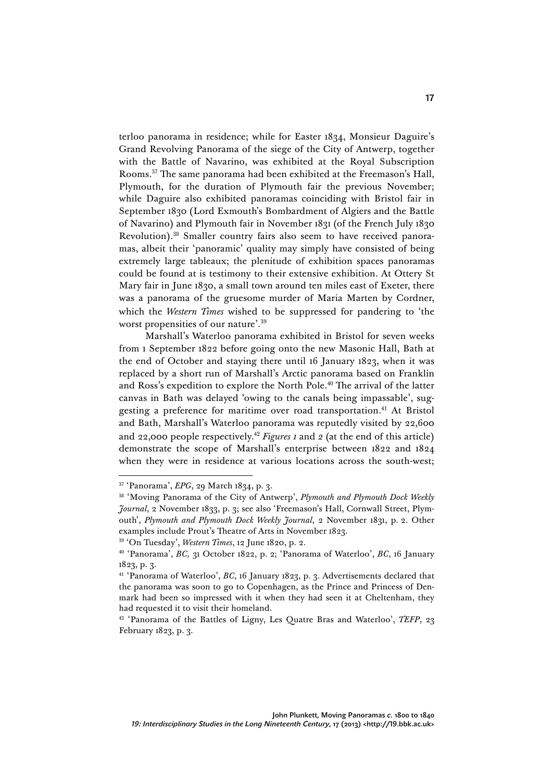terloo panorama in residence; while for Easter 1834, Monsieur Daguire's Grand Revolving Panorama of the siege of the City of Antwerp, together with the Battle of Navarino, was exhibited at the Royal Subscription Rooms.37 The same panorama had been exhibited at the Freemason's Hall, Plymouth, for the duration of Plymouth fair the previous November; while Daguire also exhibited panoramas coinciding with Bristol fair in September 1830 (Lord Exmouth's Bombardment of Algiers and the Battle of Navarino) and Plymouth fair in November 1831 (of the French July 1830 Revolution).38 Smaller country fairs also seem to have received panoramas, albeit their 'panoramic' quality may simply have consisted of being extremely large tableaux; the plenitude of exhibition spaces panoramas could be found at is testimony to their extensive exhibition. At Ottery St Mary fair in June 1830, a small town around ten miles east of Exeter, there was a panorama of the gruesome murder of Maria Marten by Cordner, which the *Western Times* wished to be suppressed for pandering to 'the worst propensities of our nature'. 39

Marshall's Waterloo panorama exhibited in Bristol for seven weeks from 1 September 1822 before going onto the new Masonic Hall, Bath at the end of October and staying there until 16 January 1823, when it was replaced by a short run of Marshall's Arctic panorama based on Franklin and Ross's expedition to explore the North Pole.<sup>40</sup> The arrival of the latter canvas in Bath was delayed 'owing to the canals being impassable', suggesting a preference for maritime over road transportation.<sup>41</sup> At Bristol and Bath, Marshall's Waterloo panorama was reputedly visited by 22,600 and 22,000 people respectively.42 *Figures 1* and *2* (at the end of this article) demonstrate the scope of Marshall's enterprise between 1822 and 1824 when they were in residence at various locations across the south-west;

<sup>37</sup> 'Panorama', *EPG*, 29 March 1834, p. 3.

<sup>38</sup> 'Moving Panorama of the City of Antwerp', *Plymouth and Plymouth Dock Weekly Journal*, 2 November 1833, p. 3; see also 'Freemason's Hall, Cornwall Street, Plymouth', *Plymouth and Plymouth Dock Weekly Journal*, 2 November 1831, p. 2. Other examples include Prout's Theatre of Arts in November 1823.

<sup>39</sup> 'On Tuesday', *Western Times*, 12 June 1820, p. 2.

<sup>40</sup> 'Panorama', *BC,* 31 October 1822, p. 2; 'Panorama of Waterloo', *BC*, 16 January 1823, p. 3.

<sup>41</sup> 'Panorama of Waterloo', *BC*, 16 January 1823, p. 3. Advertisements declared that the panorama was soon to go to Copenhagen, as the Prince and Princess of Denmark had been so impressed with it when they had seen it at Cheltenham, they had requested it to visit their homeland.

<sup>42</sup> 'Panorama of the Battles of Ligny, Les Quatre Bras and Waterloo', *TEFP*, 23 February 1823, p. 3.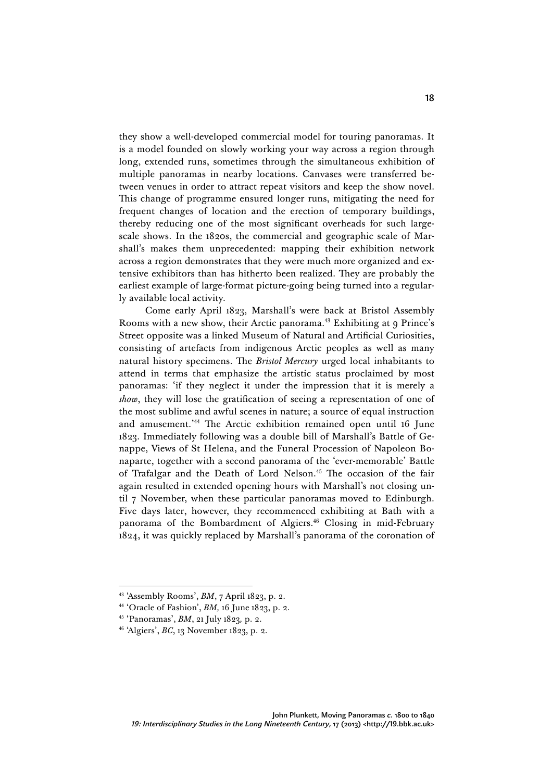they show a well-developed commercial model for touring panoramas. It is a model founded on slowly working your way across a region through long, extended runs, sometimes through the simultaneous exhibition of multiple panoramas in nearby locations. Canvases were transferred between venues in order to attract repeat visitors and keep the show novel. This change of programme ensured longer runs, mitigating the need for frequent changes of location and the erection of temporary buildings, thereby reducing one of the most significant overheads for such largescale shows. In the 1820s, the commercial and geographic scale of Marshall's makes them unprecedented: mapping their exhibition network across a region demonstrates that they were much more organized and extensive exhibitors than has hitherto been realized. They are probably the earliest example of large-format picture-going being turned into a regularly available local activity.

Come early April 1823, Marshall's were back at Bristol Assembly Rooms with a new show, their Arctic panorama.<sup>43</sup> Exhibiting at 9 Prince's Street opposite was a linked Museum of Natural and Artificial Curiosities, consisting of artefacts from indigenous Arctic peoples as well as many natural history specimens. The *Bristol Mercury* urged local inhabitants to attend in terms that emphasize the artistic status proclaimed by most panoramas: 'if they neglect it under the impression that it is merely a *show*, they will lose the gratification of seeing a representation of one of the most sublime and awful scenes in nature; a source of equal instruction and amusement.' <sup>44</sup> The Arctic exhibition remained open until 16 June 1823. Immediately following was a double bill of Marshall's Battle of Genappe, Views of St Helena, and the Funeral Procession of Napoleon Bonaparte, together with a second panorama of the 'ever-memorable' Battle of Trafalgar and the Death of Lord Nelson.<sup>45</sup> The occasion of the fair again resulted in extended opening hours with Marshall's not closing until 7 November, when these particular panoramas moved to Edinburgh. Five days later, however, they recommenced exhibiting at Bath with a panorama of the Bombardment of Algiers.<sup>46</sup> Closing in mid-February 1824, it was quickly replaced by Marshall's panorama of the coronation of

<sup>43</sup> 'Assembly Rooms', *BM*, 7 April 1823, p. 2.

<sup>44</sup> 'Oracle of Fashion', *BM,* 16 June 1823, p. 2.

<sup>45</sup> 'Panoramas', *BM*, 21 July 1823*,* p. 2.

<sup>46</sup> 'Algiers', *BC*, 13 November 1823, p. 2.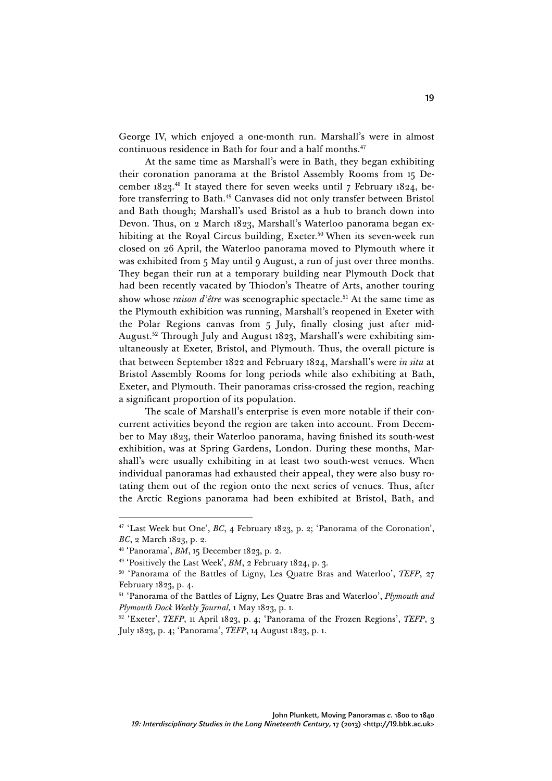George IV, which enjoyed a one-month run. Marshall's were in almost continuous residence in Bath for four and a half months. 47

At the same time as Marshall's were in Bath, they began exhibiting their coronation panorama at the Bristol Assembly Rooms from 15 December 1823. <sup>48</sup> It stayed there for seven weeks until 7 February 1824, before transferring to Bath.49 Canvases did not only transfer between Bristol and Bath though; Marshall's used Bristol as a hub to branch down into Devon. Thus, on 2 March 1823, Marshall's Waterloo panorama began exhibiting at the Royal Circus building, Exeter.<sup>50</sup> When its seven-week run closed on 26 April, the Waterloo panorama moved to Plymouth where it was exhibited from 5 May until 9 August, a run of just over three months. They began their run at a temporary building near Plymouth Dock that had been recently vacated by Thiodon's Theatre of Arts, another touring show whose *raison d'être* was scenographic spectacle. <sup>51</sup> At the same time as the Plymouth exhibition was running, Marshall's reopened in Exeter with the Polar Regions canvas from 5 July, finally closing just after mid-August.52 Through July and August 1823, Marshall's were exhibiting simultaneously at Exeter, Bristol, and Plymouth. Thus, the overall picture is that between September 1822 and February 1824, Marshall's were *in situ* at Bristol Assembly Rooms for long periods while also exhibiting at Bath, Exeter, and Plymouth. Their panoramas criss-crossed the region, reaching a significant proportion of its population.

The scale of Marshall's enterprise is even more notable if their concurrent activities beyond the region are taken into account. From December to May 1823, their Waterloo panorama, having finished its south-west exhibition, was at Spring Gardens, London. During these months, Marshall's were usually exhibiting in at least two south-west venues. When individual panoramas had exhausted their appeal, they were also busy rotating them out of the region onto the next series of venues. Thus, after the Arctic Regions panorama had been exhibited at Bristol, Bath, and

<sup>&</sup>lt;sup>47</sup> 'Last Week but One', *BC*, 4 February 1823, p. 2; 'Panorama of the Coronation', *BC*, 2 March 1823, p. 2.

<sup>48</sup> 'Panorama', *BM*, 15 December 1823, p. 2.

<sup>49</sup> 'Positively the Last Week', *BM*, 2 February 1824, p. 3.

<sup>50</sup> 'Panorama of the Battles of Ligny, Les Quatre Bras and Waterloo', *TEFP*, 27 February 1823, p. 4.

<sup>51</sup> 'Panorama of the Battles of Ligny, Les Quatre Bras and Waterloo', *Plymouth and Plymouth Dock Weekly Journal,* 1 May 1823, p. 1.

<sup>52</sup> 'Exeter', *TEFP*, 11 April 1823, p. 4; 'Panorama of the Frozen Regions', *TEFP*, 3 July 1823, p. 4; 'Panorama', *TEFP*, 14 August 1823, p. 1.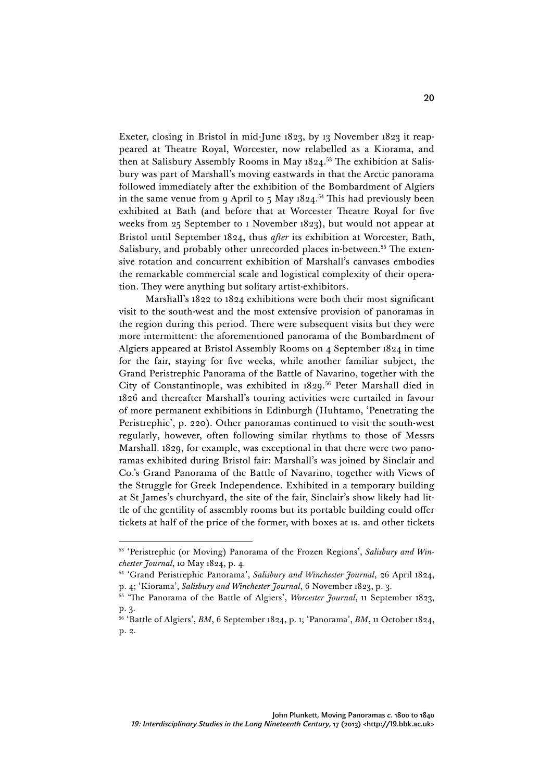Exeter, closing in Bristol in mid-June 1823, by 13 November 1823 it reappeared at Theatre Royal, Worcester, now relabelled as a Kiorama, and then at Salisbury Assembly Rooms in May 1824. <sup>53</sup> The exhibition at Salisbury was part of Marshall's moving eastwards in that the Arctic panorama followed immediately after the exhibition of the Bombardment of Algiers in the same venue from 9 April to 5 May 1824. <sup>54</sup> This had previously been exhibited at Bath (and before that at Worcester Theatre Royal for five weeks from 25 September to 1 November 1823), but would not appear at Bristol until September 1824, thus *after* its exhibition at Worcester, Bath, Salisbury, and probably other unrecorded places in-between.<sup>55</sup> The extensive rotation and concurrent exhibition of Marshall's canvases embodies the remarkable commercial scale and logistical complexity of their operation. They were anything but solitary artist-exhibitors.

Marshall's 1822 to 1824 exhibitions were both their most significant visit to the south-west and the most extensive provision of panoramas in the region during this period. There were subsequent visits but they were more intermittent: the aforementioned panorama of the Bombardment of Algiers appeared at Bristol Assembly Rooms on 4 September 1824 in time for the fair, staying for five weeks, while another familiar subject, the Grand Peristrephic Panorama of the Battle of Navarino, together with the City of Constantinople, was exhibited in 1829. <sup>56</sup> Peter Marshall died in 1826 and thereafter Marshall's touring activities were curtailed in favour of more permanent exhibitions in Edinburgh (Huhtamo, 'Penetrating the Peristrephic', p. 220). Other panoramas continued to visit the south-west regularly, however, often following similar rhythms to those of Messrs Marshall. 1829, for example, was exceptional in that there were two panoramas exhibited during Bristol fair: Marshall's was joined by Sinclair and Co.'s Grand Panorama of the Battle of Navarino, together with Views of the Struggle for Greek Independence. Exhibited in a temporary building at St James's churchyard, the site of the fair, Sinclair's show likely had little of the gentility of assembly rooms but its portable building could offer tickets at half of the price of the former, with boxes at 1s. and other tickets

<sup>53</sup> 'Peristrephic (or Moving) Panorama of the Frozen Regions', *Salisbury and Winchester Journal*, 10 May 1824, p. 4.

<sup>54</sup> 'Grand Peristrephic Panorama', *Salisbury and Winchester Journal*, 26 April 1824, p. 4; 'Kiorama', *Salisbury and Winchester Journal*, 6 November 1823, p. 3.

<sup>55</sup> 'The Panorama of the Battle of Algiers', *Worcester Journal*, 11 September 1823, p. 3.

<sup>56</sup> 'Battle of Algiers', *BM*, 6 September 1824, p. 1; 'Panorama', *BM*, 11 October 1824, p. 2.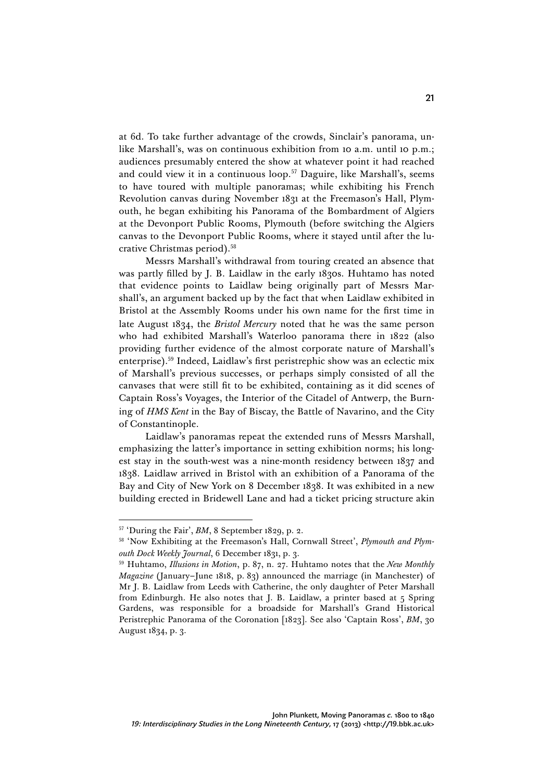at 6d. To take further advantage of the crowds, Sinclair's panorama, unlike Marshall's, was on continuous exhibition from 10 a.m. until 10 p.m.; audiences presumably entered the show at whatever point it had reached and could view it in a continuous loop.<sup>57</sup> Daguire, like Marshall's, seems to have toured with multiple panoramas; while exhibiting his French Revolution canvas during November 1831 at the Freemason's Hall, Plymouth, he began exhibiting his Panorama of the Bombardment of Algiers at the Devonport Public Rooms, Plymouth (before switching the Algiers canvas to the Devonport Public Rooms, where it stayed until after the lucrative Christmas period).<sup>58</sup>

Messrs Marshall's withdrawal from touring created an absence that was partly filled by J. B. Laidlaw in the early 1830s. Huhtamo has noted that evidence points to Laidlaw being originally part of Messrs Marshall's, an argument backed up by the fact that when Laidlaw exhibited in Bristol at the Assembly Rooms under his own name for the first time in late August 1834, the *Bristol Mercury* noted that he was the same person who had exhibited Marshall's Waterloo panorama there in 1822 (also providing further evidence of the almost corporate nature of Marshall's enterprise).59 Indeed, Laidlaw's first peristrephic show was an eclectic mix of Marshall's previous successes, or perhaps simply consisted of all the canvases that were still fit to be exhibited, containing as it did scenes of Captain Ross's Voyages, the Interior of the Citadel of Antwerp, the Burning of *HMS Kent* in the Bay of Biscay, the Battle of Navarino, and the City of Constantinople.

Laidlaw's panoramas repeat the extended runs of Messrs Marshall, emphasizing the latter's importance in setting exhibition norms; his longest stay in the south-west was a nine-month residency between 1837 and 1838. Laidlaw arrived in Bristol with an exhibition of a Panorama of the Bay and City of New York on 8 December 1838. It was exhibited in a new building erected in Bridewell Lane and had a ticket pricing structure akin

<sup>57</sup> 'During the Fair', *BM*, 8 September 1829, p. 2.

<sup>58</sup> 'Now Exhibiting at the Freemason's Hall, Cornwall Street', *Plymouth and Plymouth Dock Weekly Journal*, 6 December 1831, p. 3.

<sup>59</sup> Huhtamo, *Illusions in Motion*, p. 87, n. 27. Huhtamo notes that the *New Monthly Magazine* (January–June 1818, p. 83) announced the marriage (in Manchester) of Mr J. B. Laidlaw from Leeds with Catherine, the only daughter of Peter Marshall from Edinburgh. He also notes that J. B. Laidlaw, a printer based at 5 Spring Gardens, was responsible for a broadside for Marshall's Grand Historical Peristrephic Panorama of the Coronation [1823]. See also 'Captain Ross', *BM*, 30 August 1834, p. 3.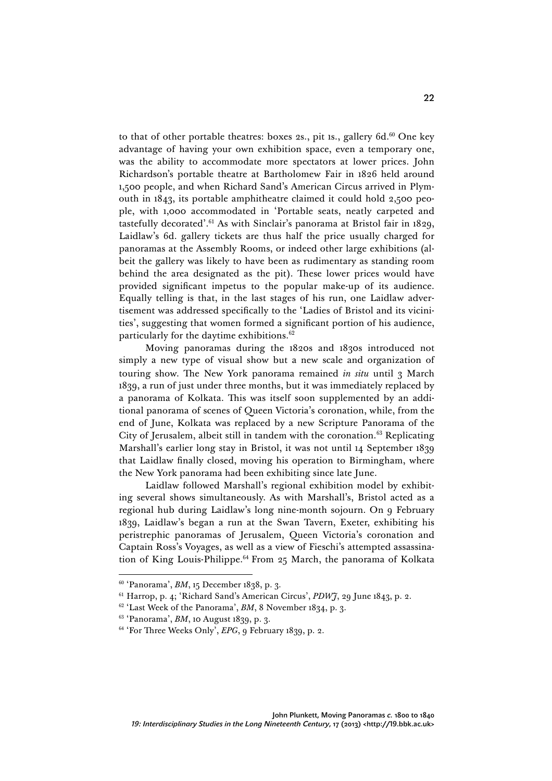to that of other portable theatres: boxes 2s., pit 1s., gallery 6d. $60$  One key advantage of having your own exhibition space, even a temporary one, was the ability to accommodate more spectators at lower prices. John Richardson's portable theatre at Bartholomew Fair in 1826 held around 1,500 people, and when Richard Sand's American Circus arrived in Plymouth in 1843, its portable amphitheatre claimed it could hold 2,500 people, with 1,000 accommodated in 'Portable seats, neatly carpeted and tastefully decorated'. <sup>61</sup> As with Sinclair's panorama at Bristol fair in 1829, Laidlaw's 6d. gallery tickets are thus half the price usually charged for panoramas at the Assembly Rooms, or indeed other large exhibitions (albeit the gallery was likely to have been as rudimentary as standing room behind the area designated as the pit). These lower prices would have provided significant impetus to the popular make-up of its audience. Equally telling is that, in the last stages of his run, one Laidlaw advertisement was addressed specifically to the 'Ladies of Bristol and its vicinities', suggesting that women formed a significant portion of his audience, particularly for the daytime exhibitions.62

Moving panoramas during the 1820s and 1830s introduced not simply a new type of visual show but a new scale and organization of touring show. The New York panorama remained *in situ* until 3 March 1839, a run of just under three months, but it was immediately replaced by a panorama of Kolkata. This was itself soon supplemented by an additional panorama of scenes of Queen Victoria's coronation, while, from the end of June, Kolkata was replaced by a new Scripture Panorama of the City of Jerusalem, albeit still in tandem with the coronation.63 Replicating Marshall's earlier long stay in Bristol, it was not until 14 September 1839 that Laidlaw finally closed, moving his operation to Birmingham, where the New York panorama had been exhibiting since late June.

Laidlaw followed Marshall's regional exhibition model by exhibiting several shows simultaneously. As with Marshall's, Bristol acted as a regional hub during Laidlaw's long nine-month sojourn. On 9 February 1839, Laidlaw's began a run at the Swan Tavern, Exeter, exhibiting his peristrephic panoramas of Jerusalem, Queen Victoria's coronation and Captain Ross's Voyages, as well as a view of Fieschi's attempted assassination of King Louis-Philippe.64 From 25 March, the panorama of Kolkata

<sup>60</sup> 'Panorama', *BM*, 15 December 1838, p. 3.

<sup>61</sup> Harrop, p. 4; 'Richard Sand's American Circus', *PDWJ*, 29 June 1843, p. 2.

<sup>&</sup>lt;sup>62</sup> 'Last Week of the Panorama', *BM*, 8 November 1834, p. 3.

<sup>63</sup> 'Panorama', *BM*, 10 August 1839, p. 3.

<sup>&</sup>lt;sup>64</sup> 'For Three Weeks Only', *EPG*, 9 February 1839, p. 2.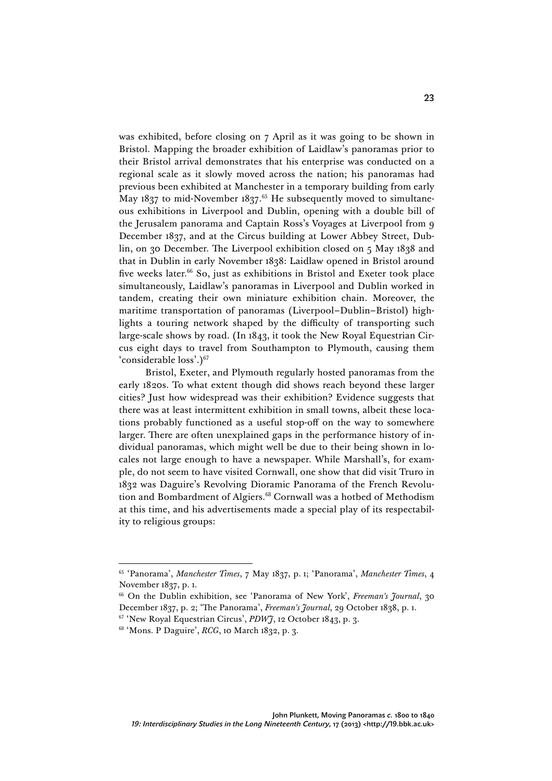was exhibited, before closing on 7 April as it was going to be shown in Bristol. Mapping the broader exhibition of Laidlaw's panoramas prior to their Bristol arrival demonstrates that his enterprise was conducted on a regional scale as it slowly moved across the nation; his panoramas had previous been exhibited at Manchester in a temporary building from early May 1837 to mid-November 1837.<sup>65</sup> He subsequently moved to simultaneous exhibitions in Liverpool and Dublin, opening with a double bill of the Jerusalem panorama and Captain Ross's Voyages at Liverpool from 9 December 1837, and at the Circus building at Lower Abbey Street, Dublin, on 30 December. The Liverpool exhibition closed on 5 May 1838 and that in Dublin in early November 1838: Laidlaw opened in Bristol around five weeks later.<sup>66</sup> So, just as exhibitions in Bristol and Exeter took place simultaneously, Laidlaw's panoramas in Liverpool and Dublin worked in tandem, creating their own miniature exhibition chain. Moreover, the maritime transportation of panoramas (Liverpool–Dublin–Bristol) highlights a touring network shaped by the difficulty of transporting such large-scale shows by road. (In 1843, it took the New Royal Equestrian Circus eight days to travel from Southampton to Plymouth, causing them 'considerable loss'.)<sup>67</sup>

Bristol, Exeter, and Plymouth regularly hosted panoramas from the early 1820s. To what extent though did shows reach beyond these larger cities? Just how widespread was their exhibition? Evidence suggests that there was at least intermittent exhibition in small towns, albeit these locations probably functioned as a useful stop-off on the way to somewhere larger. There are often unexplained gaps in the performance history of individual panoramas, which might well be due to their being shown in locales not large enough to have a newspaper. While Marshall's, for example, do not seem to have visited Cornwall, one show that did visit Truro in 1832 was Daguire's Revolving Dioramic Panorama of the French Revolution and Bombardment of Algiers.<sup>68</sup> Cornwall was a hotbed of Methodism at this time, and his advertisements made a special play of its respectability to religious groups:

<sup>65</sup> 'Panorama', *Manchester Times*, 7 May 1837, p. 1; 'Panorama', *Manchester Times*, 4 November 1837, p. 1.

<sup>66</sup> On the Dublin exhibition, see 'Panorama of New York', *Freeman's Journal*, 30 December 1837, p. 2; 'The Panorama', *Freeman's Journal*, 29 October 1838, p. 1.

<sup>67</sup> 'New Royal Equestrian Circus', *PDWJ*, 12 October 1843, p. 3.

<sup>68</sup> 'Mons. P Daguire', *RCG*, 10 March 1832, p. 3.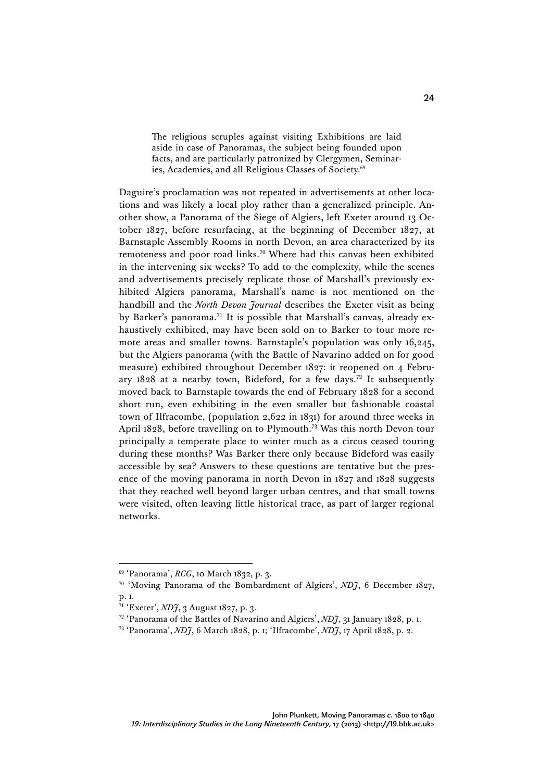The religious scruples against visiting Exhibitions are laid aside in case of Panoramas, the subject being founded upon facts, and are particularly patronized by Clergymen, Seminaries, Academies, and all Religious Classes of Society.<sup>69</sup>

Daguire's proclamation was not repeated in advertisements at other locations and was likely a local ploy rather than a generalized principle. Another show, a Panorama of the Siege of Algiers, left Exeter around 13 October 1827, before resurfacing, at the beginning of December 1827, at Barnstaple Assembly Rooms in north Devon, an area characterized by its remoteness and poor road links.70 Where had this canvas been exhibited in the intervening six weeks? To add to the complexity, while the scenes and advertisements precisely replicate those of Marshall's previously exhibited Algiers panorama, Marshall's name is not mentioned on the handbill and the *North Devon Journal* describes the Exeter visit as being by Barker's panorama.<sup>71</sup> It is possible that Marshall's canvas, already exhaustively exhibited, may have been sold on to Barker to tour more remote areas and smaller towns. Barnstaple's population was only 16,245, but the Algiers panorama (with the Battle of Navarino added on for good measure) exhibited throughout December 1827: it reopened on 4 February  $1828$  at a nearby town, Bideford, for a few days.<sup>72</sup> It subsequently moved back to Barnstaple towards the end of February 1828 for a second short run, even exhibiting in the even smaller but fashionable coastal town of Ilfracombe, (population 2,622 in 1831) for around three weeks in April 1828, before travelling on to Plymouth.<sup>73</sup> Was this north Devon tour principally a temperate place to winter much as a circus ceased touring during these months? Was Barker there only because Bideford was easily accessible by sea? Answers to these questions are tentative but the presence of the moving panorama in north Devon in 1827 and 1828 suggests that they reached well beyond larger urban centres, and that small towns were visited, often leaving little historical trace, as part of larger regional networks.

<sup>69</sup> 'Panorama', *RCG*, 10 March 1832, p. 3.

<sup>70</sup> 'Moving Panorama of the Bombardment of Algiers', *NDJ*, 6 December 1827, p. 1.

<sup>71</sup> 'Exeter', *NDJ*, 3 August 1827, p. 3.

<sup>72</sup> 'Panorama of the Battles of Navarino and Algiers', *NDJ*, 31 January 1828, p. 1.

<sup>73</sup> 'Panorama', *NDJ*, 6 March 1828, p. 1; 'Ilfracombe', *NDJ*, 17 April 1828, p. 2.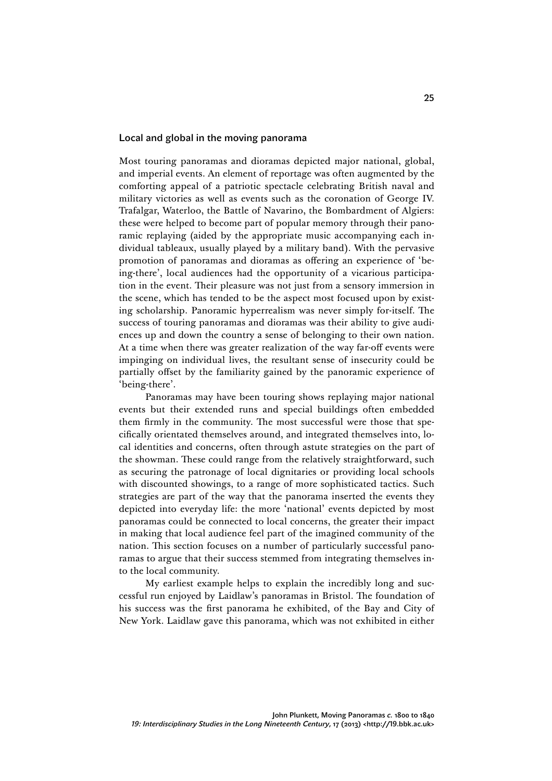## Local and global in the moving panorama

Most touring panoramas and dioramas depicted major national, global, and imperial events. An element of reportage was often augmented by the comforting appeal of a patriotic spectacle celebrating British naval and military victories as well as events such as the coronation of George IV. Trafalgar, Waterloo, the Battle of Navarino, the Bombardment of Algiers: these were helped to become part of popular memory through their panoramic replaying (aided by the appropriate music accompanying each individual tableaux, usually played by a military band). With the pervasive promotion of panoramas and dioramas as offering an experience of 'being-there', local audiences had the opportunity of a vicarious participation in the event. Their pleasure was not just from a sensory immersion in the scene, which has tended to be the aspect most focused upon by existing scholarship. Panoramic hyperrealism was never simply for-itself. The success of touring panoramas and dioramas was their ability to give audiences up and down the country a sense of belonging to their own nation. At a time when there was greater realization of the way far-off events were impinging on individual lives, the resultant sense of insecurity could be partially offset by the familiarity gained by the panoramic experience of 'being-there'.

25

Panoramas may have been touring shows replaying major national events but their extended runs and special buildings often embedded them firmly in the community. The most successful were those that specifically orientated themselves around, and integrated themselves into, local identities and concerns, often through astute strategies on the part of the showman. These could range from the relatively straightforward, such as securing the patronage of local dignitaries or providing local schools with discounted showings, to a range of more sophisticated tactics. Such strategies are part of the way that the panorama inserted the events they depicted into everyday life: the more 'national' events depicted by most panoramas could be connected to local concerns, the greater their impact in making that local audience feel part of the imagined community of the nation. This section focuses on a number of particularly successful panoramas to argue that their success stemmed from integrating themselves into the local community.

My earliest example helps to explain the incredibly long and successful run enjoyed by Laidlaw's panoramas in Bristol. The foundation of his success was the first panorama he exhibited, of the Bay and City of New York. Laidlaw gave this panorama, which was not exhibited in either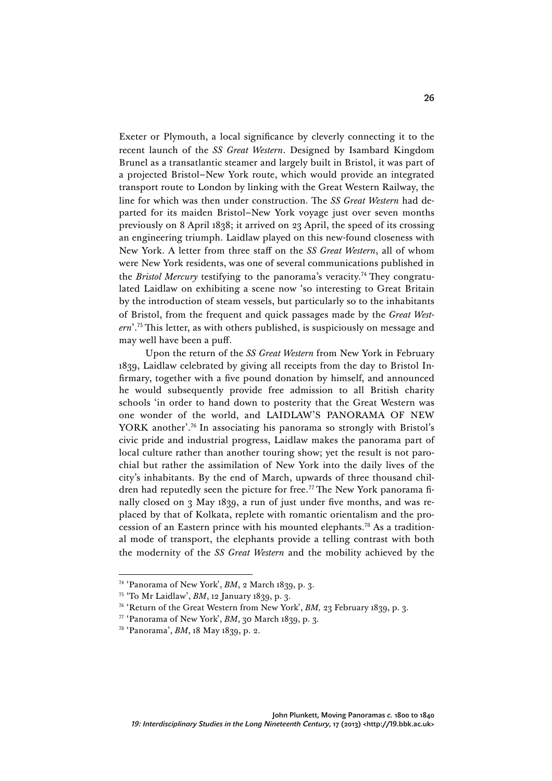Exeter or Plymouth, a local significance by cleverly connecting it to the recent launch of the *SS Great Western*. Designed by Isambard Kingdom Brunel as a transatlantic steamer and largely built in Bristol, it was part of a projected Bristol–New York route, which would provide an integrated transport route to London by linking with the Great Western Railway, the line for which was then under construction. The *SS Great Western* had departed for its maiden Bristol–New York voyage just over seven months previously on 8 April 1838; it arrived on 23 April, the speed of its crossing an engineering triumph. Laidlaw played on this new-found closeness with New York. A letter from three staff on the *SS Great Western*, all of whom were New York residents, was one of several communications published in the *Bristol Mercury* testifying to the panorama's veracity.74 They congratulated Laidlaw on exhibiting a scene now 'so interesting to Great Britain by the introduction of steam vessels, but particularly so to the inhabitants of Bristol, from the frequent and quick passages made by the *Great Western*'. <sup>75</sup> This letter, as with others published, is suspiciously on message and may well have been a puff.

Upon the return of the *SS Great Western* from New York in February 1839, Laidlaw celebrated by giving all receipts from the day to Bristol Infirmary, together with a five pound donation by himself, and announced he would subsequently provide free admission to all British charity schools 'in order to hand down to posterity that the Great Western was one wonder of the world, and LAIDLAW'S PANORAMA OF NEW YORK another'. <sup>76</sup> In associating his panorama so strongly with Bristol's civic pride and industrial progress, Laidlaw makes the panorama part of local culture rather than another touring show; yet the result is not parochial but rather the assimilation of New York into the daily lives of the city's inhabitants. By the end of March, upwards of three thousand children had reputedly seen the picture for free.<sup>77</sup>The New York panorama finally closed on 3 May 1839, a run of just under five months, and was replaced by that of Kolkata, replete with romantic orientalism and the procession of an Eastern prince with his mounted elephants.78 As a traditional mode of transport, the elephants provide a telling contrast with both the modernity of the *SS Great Western* and the mobility achieved by the

<sup>74</sup> 'Panorama of New York', *BM*, 2 March 1839, p. 3.

<sup>75</sup> 'To Mr Laidlaw', *BM*, 12 January 1839, p. 3.

<sup>76</sup> 'Return of the Great Western from New York', *BM,* 23 February 1839, p. 3.

<sup>77</sup> 'Panorama of New York', *BM*, 30 March 1839, p. 3.

<sup>78</sup> 'Panorama', *BM*, 18 May 1839, p. 2.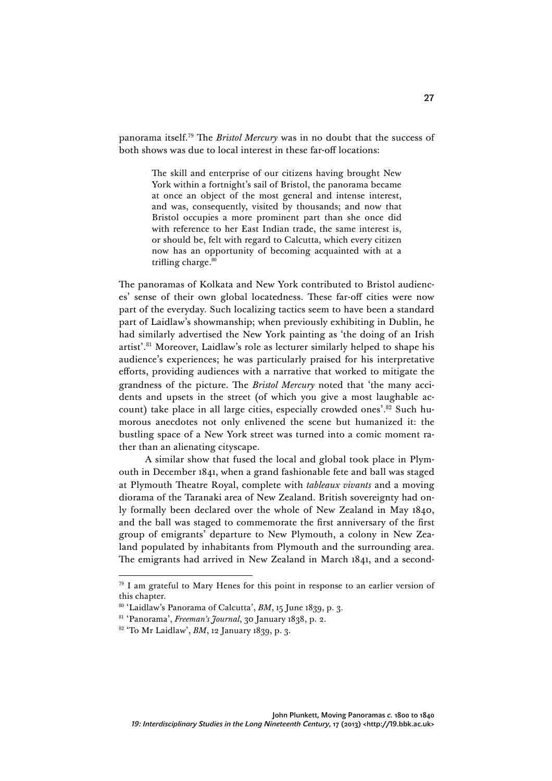panorama itself.79 The *Bristol Mercury* was in no doubt that the success of both shows was due to local interest in these far-off locations:

> The skill and enterprise of our citizens having brought New York within a fortnight's sail of Bristol, the panorama became at once an object of the most general and intense interest, and was, consequently, visited by thousands; and now that Bristol occupies a more prominent part than she once did with reference to her East Indian trade, the same interest is, or should be, felt with regard to Calcutta, which every citizen now has an opportunity of becoming acquainted with at a trifling charge. $80$

The panoramas of Kolkata and New York contributed to Bristol audiences' sense of their own global locatedness. These far-off cities were now part of the everyday. Such localizing tactics seem to have been a standard part of Laidlaw's showmanship; when previously exhibiting in Dublin, he had similarly advertised the New York painting as 'the doing of an Irish artist'. <sup>81</sup> Moreover, Laidlaw's role as lecturer similarly helped to shape his audience's experiences; he was particularly praised for his interpretative efforts, providing audiences with a narrative that worked to mitigate the grandness of the picture. The *Bristol Mercury* noted that 'the many accidents and upsets in the street (of which you give a most laughable account) take place in all large cities, especially crowded ones'. <sup>82</sup> Such humorous anecdotes not only enlivened the scene but humanized it: the bustling space of a New York street was turned into a comic moment rather than an alienating cityscape.

A similar show that fused the local and global took place in Plymouth in December 1841, when a grand fashionable fete and ball was staged at Plymouth Theatre Royal, complete with *tableaux vivants* and a moving diorama of the Taranaki area of New Zealand. British sovereignty had only formally been declared over the whole of New Zealand in May 1840, and the ball was staged to commemorate the first anniversary of the first group of emigrants' departure to New Plymouth, a colony in New Zealand populated by inhabitants from Plymouth and the surrounding area. The emigrants had arrived in New Zealand in March 1841, and a second-

 $79$  I am grateful to Mary Henes for this point in response to an earlier version of this chapter.

<sup>&</sup>lt;sup>80</sup> 'Laidlaw's Panorama of Calcutta', *BM*, 15 June 1839, p. 3.

<sup>81</sup> 'Panorama', *Freeman's Journal*, 30 January 1838, p. 2.

<sup>82</sup> 'To Mr Laidlaw', *BM*, 12 January 1839, p. 3.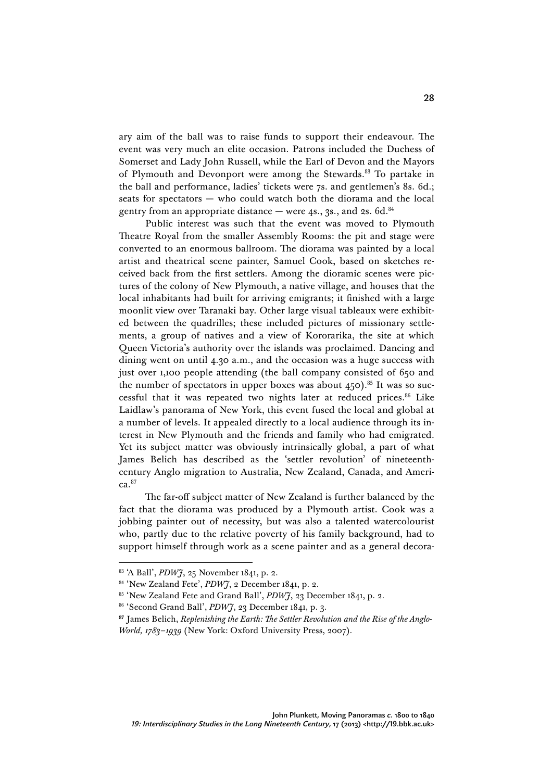ary aim of the ball was to raise funds to support their endeavour. The event was very much an elite occasion. Patrons included the Duchess of Somerset and Lady John Russell, while the Earl of Devon and the Mayors of Plymouth and Devonport were among the Stewards.83 To partake in the ball and performance, ladies' tickets were 7s. and gentlemen's 8s. 6d.; seats for spectators — who could watch both the diorama and the local gentry from an appropriate distance  $-$  were 4s., 3s., and 2s. 6d.<sup>84</sup>

Public interest was such that the event was moved to Plymouth Theatre Royal from the smaller Assembly Rooms: the pit and stage were converted to an enormous ballroom. The diorama was painted by a local artist and theatrical scene painter, Samuel Cook, based on sketches received back from the first settlers. Among the dioramic scenes were pictures of the colony of New Plymouth, a native village, and houses that the local inhabitants had built for arriving emigrants; it finished with a large moonlit view over Taranaki bay. Other large visual tableaux were exhibited between the quadrilles; these included pictures of missionary settlements, a group of natives and a view of Kororarika, the site at which Queen Victoria's authority over the islands was proclaimed. Dancing and dining went on until 4.30 a.m., and the occasion was a huge success with just over 1,100 people attending (the ball company consisted of 650 and the number of spectators in upper boxes was about  $450$ ).<sup>85</sup> It was so successful that it was repeated two nights later at reduced prices.<sup>86</sup> Like Laidlaw's panorama of New York, this event fused the local and global at a number of levels. It appealed directly to a local audience through its interest in New Plymouth and the friends and family who had emigrated. Yet its subject matter was obviously intrinsically global, a part of what James Belich has described as the 'settler revolution' of nineteenthcentury Anglo migration to Australia, New Zealand, Canada, and Ameri $ca<sup>87</sup>$ 

The far-off subject matter of New Zealand is further balanced by the fact that the diorama was produced by a Plymouth artist. Cook was a jobbing painter out of necessity, but was also a talented watercolourist who, partly due to the relative poverty of his family background, had to support himself through work as a scene painter and as a general decora-

<sup>83</sup> 'A Ball', *PDWJ*, 25 November 1841, p. 2.

<sup>84</sup> 'New Zealand Fete', *PDWJ*, 2 December 1841, p. 2.

<sup>85</sup> 'New Zealand Fete and Grand Ball', *PDWJ*, 23 December 1841, p. 2.

<sup>86</sup> 'Second Grand Ball', *PDWJ*, 23 December 1841, p. 3.

**<sup>87</sup>** James Belich, *Replenishing the Earth: The Settler Revolution and the Rise of the Anglo-World, 1783–1939* (New York: Oxford University Press, 2007).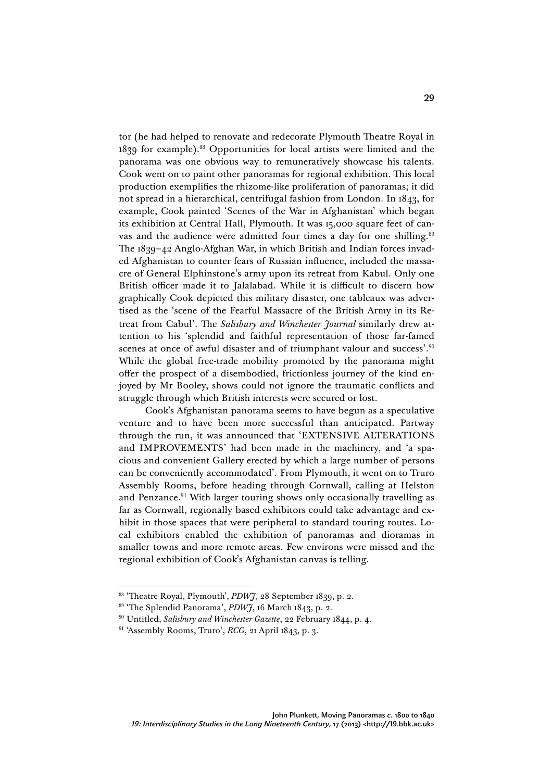tor (he had helped to renovate and redecorate Plymouth Theatre Royal in 1839 for example).88 Opportunities for local artists were limited and the panorama was one obvious way to remuneratively showcase his talents. Cook went on to paint other panoramas for regional exhibition. This local production exemplifies the rhizome-like proliferation of panoramas; it did not spread in a hierarchical, centrifugal fashion from London. In 1843, for example, Cook painted 'Scenes of the War in Afghanistan' which began its exhibition at Central Hall, Plymouth. It was 15,000 square feet of canvas and the audience were admitted four times a day for one shilling.<sup>89</sup> The 1839–42 Anglo-Afghan War, in which British and Indian forces invaded Afghanistan to counter fears of Russian influence, included the massacre of General Elphinstone's army upon its retreat from Kabul. Only one British officer made it to Jalalabad. While it is difficult to discern how graphically Cook depicted this military disaster, one tableaux was advertised as the 'scene of the Fearful Massacre of the British Army in its Retreat from Cabul'. The *Salisbury and Winchester Journal* similarly drew attention to his 'splendid and faithful representation of those far-famed scenes at once of awful disaster and of triumphant valour and success'.<sup>90</sup> While the global free-trade mobility promoted by the panorama might offer the prospect of a disembodied, frictionless journey of the kind enjoyed by Mr Booley, shows could not ignore the traumatic conflicts and struggle through which British interests were secured or lost.

Cook's Afghanistan panorama seems to have begun as a speculative venture and to have been more successful than anticipated. Partway through the run, it was announced that 'EXTENSIVE ALTERATIONS and IMPROVEMENTS' had been made in the machinery, and 'a spacious and convenient Gallery erected by which a large number of persons can be conveniently accommodated'. From Plymouth, it went on to Truro Assembly Rooms, before heading through Cornwall, calling at Helston and Penzance.<sup>91</sup> With larger touring shows only occasionally travelling as far as Cornwall, regionally based exhibitors could take advantage and exhibit in those spaces that were peripheral to standard touring routes. Local exhibitors enabled the exhibition of panoramas and dioramas in smaller towns and more remote areas. Few environs were missed and the regional exhibition of Cook's Afghanistan canvas is telling.

<sup>88</sup> 'Theatre Royal, Plymouth', *PDWJ*, 28 September 1839, p. 2.

<sup>89</sup> 'The Splendid Panorama', *PDWJ*, 16 March 1843, p. 2.

<sup>90</sup> Untitled, *Salisbury and Winchester Gazette*, 22 February 1844, p. 4.

<sup>91</sup> 'Assembly Rooms, Truro', *RCG*, 21 April 1843, p. 3.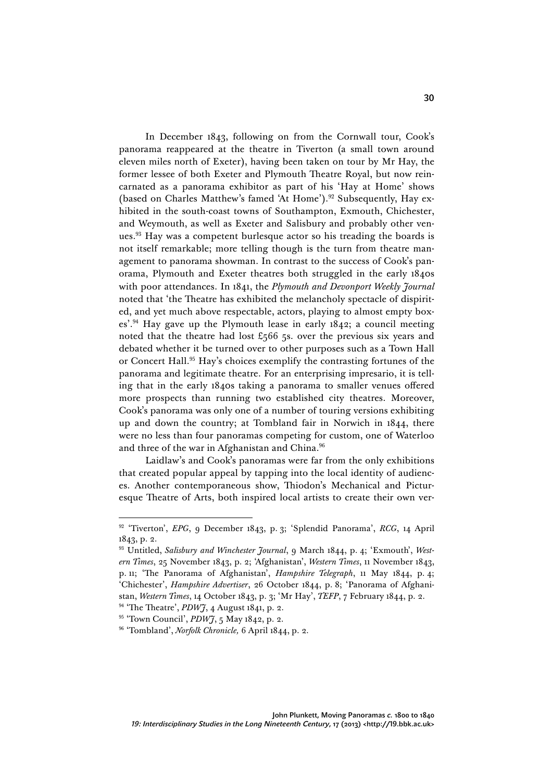In December 1843, following on from the Cornwall tour, Cook's panorama reappeared at the theatre in Tiverton (a small town around eleven miles north of Exeter), having been taken on tour by Mr Hay, the former lessee of both Exeter and Plymouth Theatre Royal, but now reincarnated as a panorama exhibitor as part of his 'Hay at Home' shows (based on Charles Matthew's famed 'At Home').<sup>92</sup> Subsequently, Hay exhibited in the south-coast towns of Southampton, Exmouth, Chichester, and Weymouth, as well as Exeter and Salisbury and probably other venues.93 Hay was a competent burlesque actor so his treading the boards is not itself remarkable; more telling though is the turn from theatre management to panorama showman. In contrast to the success of Cook's panorama, Plymouth and Exeter theatres both struggled in the early 1840s with poor attendances. In 1841, the *Plymouth and Devonport Weekly Journal*  noted that 'the Theatre has exhibited the melancholy spectacle of dispirited, and yet much above respectable, actors, playing to almost empty boxes'. <sup>94</sup> Hay gave up the Plymouth lease in early 1842; a council meeting noted that the theatre had lost £566 5s. over the previous six years and debated whether it be turned over to other purposes such as a Town Hall or Concert Hall.<sup>95</sup> Hay's choices exemplify the contrasting fortunes of the panorama and legitimate theatre. For an enterprising impresario, it is telling that in the early 1840s taking a panorama to smaller venues offered more prospects than running two established city theatres. Moreover, Cook's panorama was only one of a number of touring versions exhibiting up and down the country; at Tombland fair in Norwich in 1844, there were no less than four panoramas competing for custom, one of Waterloo and three of the war in Afghanistan and China.<sup>96</sup>

Laidlaw's and Cook's panoramas were far from the only exhibitions that created popular appeal by tapping into the local identity of audiences. Another contemporaneous show, Thiodon's Mechanical and Picturesque Theatre of Arts, both inspired local artists to create their own ver-

<sup>92</sup> 'Tiverton', *EPG*, 9 December 1843, p. 3; 'Splendid Panorama', *RCG*, 14 April 1843, p. 2.

<sup>93</sup> Untitled, *Salisbury and Winchester Journal*, 9 March 1844, p. 4; 'Exmouth', *Western Times*, 25 November 1843, p. 2; 'Afghanistan', *Western Times*, 11 November 1843, p. 11; 'The Panorama of Afghanistan', *Hampshire Telegraph*, 11 May 1844, p. 4; 'Chichester', *Hampshire Advertiser*, 26 October 1844, p. 8; 'Panorama of Afghanistan, *Western Times*, 14 October 1843, p. 3; 'Mr Hay', *TEFP*, 7 February 1844, p. 2.

<sup>94</sup> 'The Theatre', *PDWJ*, 4 August 1841, p. 2.

<sup>95</sup> 'Town Council', *PDWJ*, 5 May 1842, p. 2.

<sup>96</sup> 'Tombland', *Norfolk Chronicle,* 6 April 1844, p. 2.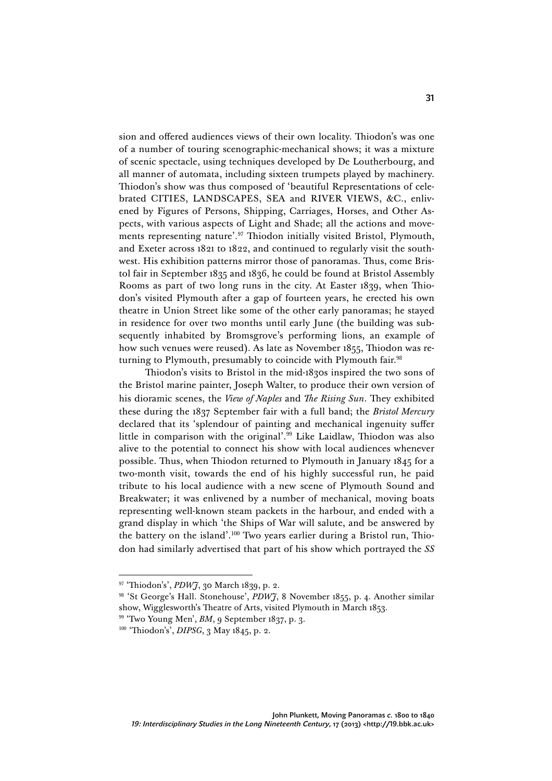sion and offered audiences views of their own locality. Thiodon's was one of a number of touring scenographic-mechanical shows; it was a mixture of scenic spectacle, using techniques developed by De Loutherbourg, and all manner of automata, including sixteen trumpets played by machinery. Thiodon's show was thus composed of 'beautiful Representations of celebrated CITIES, LANDSCAPES, SEA and RIVER VIEWS, &C., enlivened by Figures of Persons, Shipping, Carriages, Horses, and Other Aspects, with various aspects of Light and Shade; all the actions and movements representing nature'. <sup>97</sup> Thiodon initially visited Bristol, Plymouth, and Exeter across 1821 to 1822, and continued to regularly visit the southwest. His exhibition patterns mirror those of panoramas. Thus, come Bristol fair in September 1835 and 1836, he could be found at Bristol Assembly Rooms as part of two long runs in the city. At Easter 1839, when Thiodon's visited Plymouth after a gap of fourteen years, he erected his own theatre in Union Street like some of the other early panoramas; he stayed in residence for over two months until early June (the building was subsequently inhabited by Bromsgrove's performing lions, an example of how such venues were reused). As late as November 1855, Thiodon was returning to Plymouth, presumably to coincide with Plymouth fair.<sup>98</sup>

Thiodon's visits to Bristol in the mid-1830s inspired the two sons of the Bristol marine painter, Joseph Walter, to produce their own version of his dioramic scenes, the *View of Naples* and *The Rising Sun*. They exhibited these during the 1837 September fair with a full band; the *Bristol Mercury*  declared that its 'splendour of painting and mechanical ingenuity suffer little in comparison with the original'. <sup>99</sup> Like Laidlaw, Thiodon was also alive to the potential to connect his show with local audiences whenever possible. Thus, when Thiodon returned to Plymouth in January 1845 for a two-month visit, towards the end of his highly successful run, he paid tribute to his local audience with a new scene of Plymouth Sound and Breakwater; it was enlivened by a number of mechanical, moving boats representing well-known steam packets in the harbour, and ended with a grand display in which 'the Ships of War will salute, and be answered by the battery on the island'.<sup>100</sup> Two years earlier during a Bristol run, Thiodon had similarly advertised that part of his show which portrayed the *SS* 

<sup>97</sup> 'Thiodon's', *PDWJ*, 30 March 1839, p. 2.

<sup>&</sup>lt;sup>98</sup> 'St George's Hall. Stonehouse', *PDWJ*, 8 November 1855, p. 4. Another similar show, Wigglesworth's Theatre of Arts, visited Plymouth in March 1853.

<sup>99</sup> 'Two Young Men', *BM*, 9 September 1837, p. 3.

<sup>100</sup> 'Thiodon's', *DIPSG*, 3 May 1845, p. 2.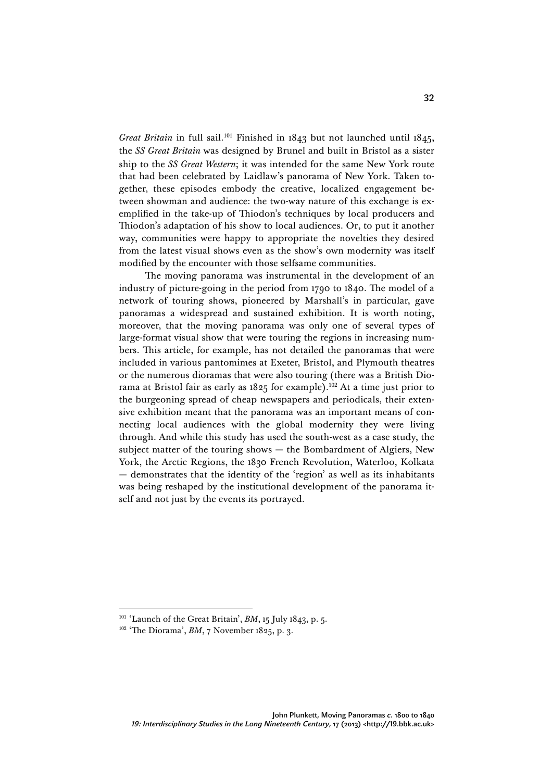*Great Britain* in full sail.<sup>101</sup> Finished in 1843 but not launched until 1845, the *SS Great Britain* was designed by Brunel and built in Bristol as a sister ship to the *SS Great Western*; it was intended for the same New York route that had been celebrated by Laidlaw's panorama of New York. Taken together, these episodes embody the creative, localized engagement between showman and audience: the two-way nature of this exchange is exemplified in the take-up of Thiodon's techniques by local producers and Thiodon's adaptation of his show to local audiences. Or, to put it another way, communities were happy to appropriate the novelties they desired from the latest visual shows even as the show's own modernity was itself modified by the encounter with those selfsame communities.

The moving panorama was instrumental in the development of an industry of picture-going in the period from 1790 to 1840. The model of a network of touring shows, pioneered by Marshall's in particular, gave panoramas a widespread and sustained exhibition. It is worth noting, moreover, that the moving panorama was only one of several types of large-format visual show that were touring the regions in increasing numbers. This article, for example, has not detailed the panoramas that were included in various pantomimes at Exeter, Bristol, and Plymouth theatres or the numerous dioramas that were also touring (there was a British Diorama at Bristol fair as early as  $1825$  for example).<sup>102</sup> At a time just prior to the burgeoning spread of cheap newspapers and periodicals, their extensive exhibition meant that the panorama was an important means of connecting local audiences with the global modernity they were living through. And while this study has used the south-west as a case study, the subject matter of the touring shows — the Bombardment of Algiers, New York, the Arctic Regions, the 1830 French Revolution, Waterloo, Kolkata — demonstrates that the identity of the 'region' as well as its inhabitants was being reshaped by the institutional development of the panorama itself and not just by the events its portrayed.

<sup>101</sup> 'Launch of the Great Britain', *BM*, 15 July 1843, p. 5.

<sup>&</sup>lt;sup>102</sup> 'The Diorama', *BM*, 7 November 1825, p. 3.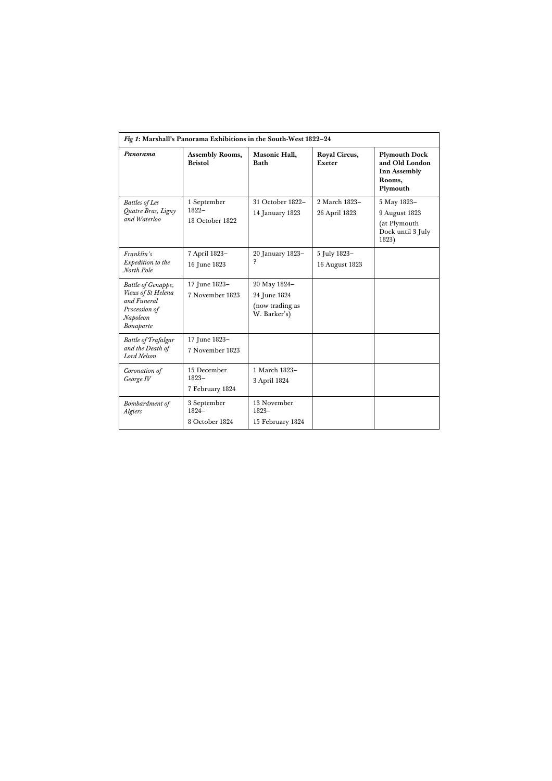| Fig 1: Marshall's Panorama Exhibitions in the South-West 1822-24                                  |                                            |                                                                 |                                |                                                                                     |
|---------------------------------------------------------------------------------------------------|--------------------------------------------|-----------------------------------------------------------------|--------------------------------|-------------------------------------------------------------------------------------|
| Panorama                                                                                          | Assembly Rooms,<br><b>Bristol</b>          | Masonic Hall,<br><b>Bath</b>                                    | Royal Circus,<br>Exeter        | <b>Plymouth Dock</b><br>and Old London<br><b>Inn Assembly</b><br>Rooms,<br>Plymouth |
| <b>Battles of Les</b><br>Quatre Bras, Ligny<br>and Waterloo                                       | 1 September<br>$1822 -$<br>18 October 1822 | 31 October 1822-<br>14 January 1823                             | 2 March 1823-<br>26 April 1823 | 5 May 1823-<br>9 August 1823<br>(at Plymouth<br>Dock until 3 July<br>1823)          |
| Franklin's<br>Expedition to the<br>North Pole                                                     | 7 April 1823-<br>16 June 1823              | 20 January 1823-<br>p                                           | 5 July 1823-<br>16 August 1823 |                                                                                     |
| Battle of Genappe,<br>Views of St Helena<br>and Funeral<br>Procession of<br>Napoleon<br>Bonaparte | 17 June 1823-<br>7 November 1823           | 20 May 1824-<br>24 June 1824<br>(now trading as<br>W. Barker's) |                                |                                                                                     |
| <b>Battle of Trafalgar</b><br>and the Death of<br>Lord Nelson                                     | 17 June 1823-<br>7 November 1823           |                                                                 |                                |                                                                                     |
| Coronation of<br>George IV                                                                        | 15 December<br>$1823 -$<br>7 February 1824 | 1 March 1823-<br>3 April 1824                                   |                                |                                                                                     |
| Bombardment of<br>Algiers                                                                         | 3 September<br>$1824 -$<br>8 October 1824  | 13 November<br>$1823 -$<br>15 February 1824                     |                                |                                                                                     |